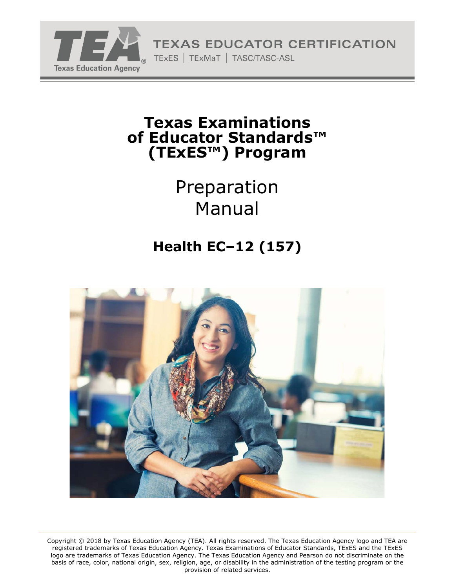

**TEXAS EDUCATOR CERTIFICATION** 

TExES | TExMaT | TASC/TASC-ASL

## **Texas Examinations of Educator Standards™ (TExES™) Program**

Preparation Manual

# **Health EC–12 (157)**



Copyright © 2018 by Texas Education Agency (TEA). All rights reserved. The Texas Education Agency logo and TEA are registered trademarks of Texas Education Agency. Texas Examinations of Educator Standards, TExES and the TExES logo are trademarks of Texas Education Agency. The Texas Education Agency and Pearson do not discriminate on the basis of race, color, national origin, sex, religion, age, or disability in the administration of the testing program or the provision of related services.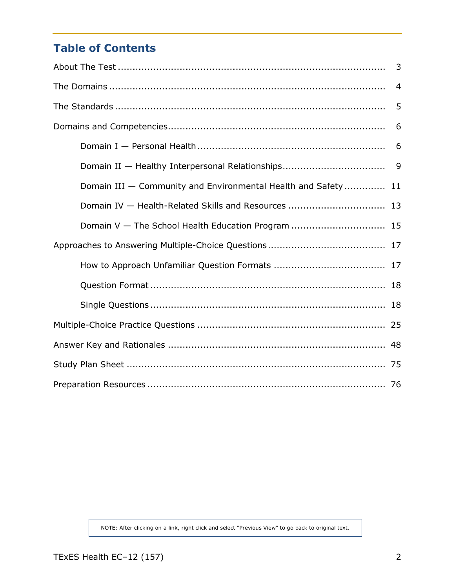## **Table of Contents**

|                                                               | $\overline{4}$ |  |  |  |
|---------------------------------------------------------------|----------------|--|--|--|
|                                                               | 5              |  |  |  |
|                                                               | 6              |  |  |  |
|                                                               | 6              |  |  |  |
|                                                               |                |  |  |  |
| Domain III - Community and Environmental Health and Safety 11 |                |  |  |  |
| Domain IV - Health-Related Skills and Resources  13           |                |  |  |  |
| Domain V - The School Health Education Program  15            |                |  |  |  |
|                                                               |                |  |  |  |
|                                                               |                |  |  |  |
|                                                               |                |  |  |  |
|                                                               |                |  |  |  |
|                                                               |                |  |  |  |
|                                                               |                |  |  |  |
|                                                               |                |  |  |  |
|                                                               |                |  |  |  |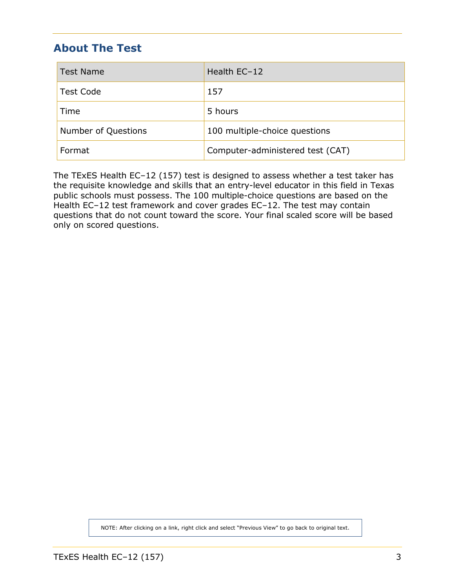## <span id="page-2-0"></span>**About The Test**

| <b>Test Name</b>    | Health EC-12                     |  |
|---------------------|----------------------------------|--|
| <b>Test Code</b>    | 157                              |  |
| Time                | 5 hours                          |  |
| Number of Questions | 100 multiple-choice questions    |  |
| Format              | Computer-administered test (CAT) |  |

The TExES Health EC–12 (157) test is designed to assess whether a test taker has the requisite knowledge and skills that an entry-level educator in this field in Texas public schools must possess. The 100 multiple-choice questions are based on the Health EC–12 test framework and cover grades EC–12. The test may contain questions that do not count toward the score. Your final scaled score will be based only on scored questions.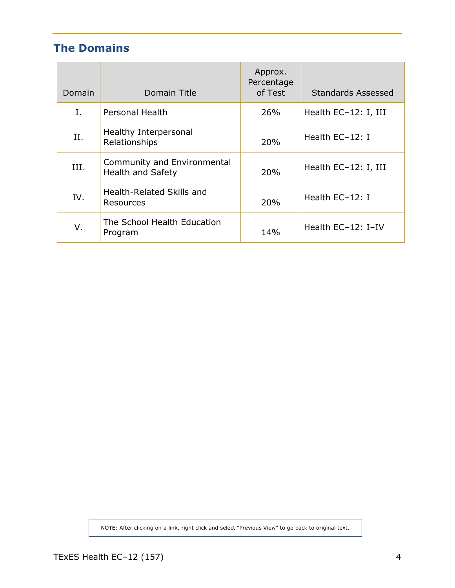## <span id="page-3-0"></span>**The Domains**

| Domain | Domain Title                                            | Approx.<br>Percentage<br>of Test | <b>Standards Assessed</b> |
|--------|---------------------------------------------------------|----------------------------------|---------------------------|
| I.     | <b>Personal Health</b>                                  | 26%                              | Health EC-12: I, III      |
| II.    | Healthy Interpersonal<br>Relationships                  | 20%                              | Health EC-12: I           |
| III.   | Community and Environmental<br><b>Health and Safety</b> | 20%                              | Health EC-12: I, III      |
| IV.    | Health-Related Skills and<br>Resources                  | 20%                              | Health EC-12: I           |
| V.     | The School Health Education<br>Program                  | 14%                              | Health EC-12: I-IV        |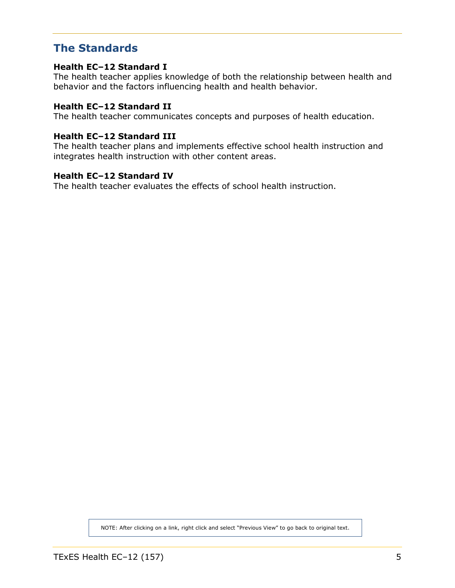### <span id="page-4-0"></span>**The Standards**

#### **Health EC–12 Standard I**

The health teacher applies knowledge of both the relationship between health and behavior and the factors influencing health and health behavior.

#### **Health EC–12 Standard II**

The health teacher communicates concepts and purposes of health education.

#### **Health EC–12 Standard III**

The health teacher plans and implements effective school health instruction and integrates health instruction with other content areas.

#### **Health EC–12 Standard IV**

The health teacher evaluates the effects of school health instruction.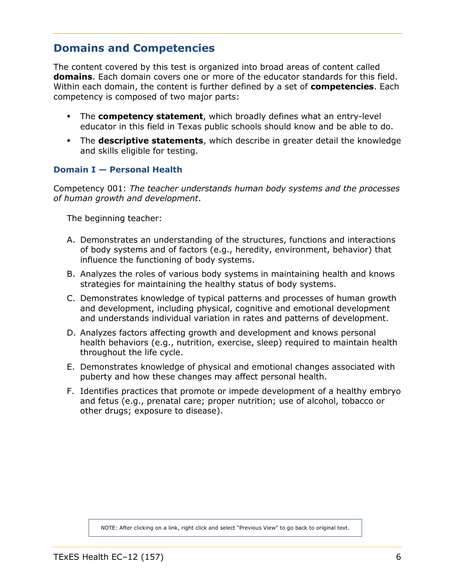## <span id="page-5-0"></span>**Domains and Competencies**

The content covered by this test is organized into broad areas of content called **domains**. Each domain covers one or more of the educator standards for this field. Within each domain, the content is further defined by a set of **competencies**. Each competency is composed of two major parts:

- The **competency statement**, which broadly defines what an entry-level educator in this field in Texas public schools should know and be able to do.
- The **descriptive statements**, which describe in greater detail the knowledge and skills eligible for testing.

#### **Domain I — Personal Health**

Competency 001: *The teacher understands human body systems and the processes of human growth and development*.

The beginning teacher:

- A. Demonstrates an understanding of the structures, functions and interactions of body systems and of factors (e.g., heredity, environment, behavior) that influence the functioning of body systems.
- B. Analyzes the roles of various body systems in maintaining health and knows strategies for maintaining the healthy status of body systems.
- C. Demonstrates knowledge of typical patterns and processes of human growth and development, including physical, cognitive and emotional development and understands individual variation in rates and patterns of development.
- D. Analyzes factors affecting growth and development and knows personal health behaviors (e.g., nutrition, exercise, sleep) required to maintain health throughout the life cycle.
- E. Demonstrates knowledge of physical and emotional changes associated with puberty and how these changes may affect personal health.
- F. Identifies practices that promote or impede development of a healthy embryo and fetus (e.g., prenatal care; proper nutrition; use of alcohol, tobacco or other drugs; exposure to disease).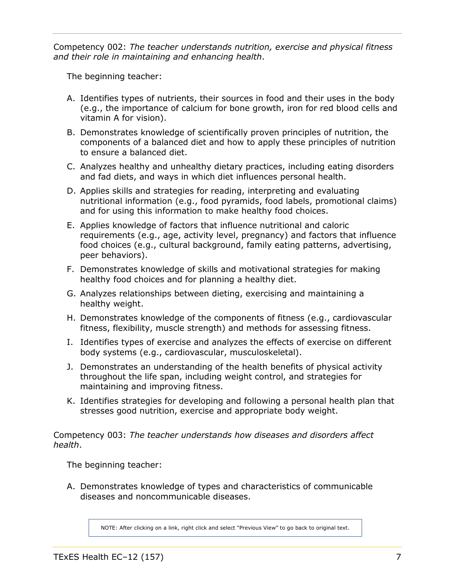<span id="page-6-0"></span>Competency 002: *The teacher understands nutrition, exercise and physical fitness and their role in maintaining and enhancing health*.

The beginning teacher:

- A. Identifies types of nutrients, their sources in food and their uses in the body (e.g., the importance of calcium for bone growth, iron for red blood cells and vitamin A for vision).
- B. Demonstrates knowledge of scientifically proven principles of nutrition, the components of a balanced diet and how to apply these principles of nutrition to ensure a balanced diet.
- C. Analyzes healthy and unhealthy dietary practices, including eating disorders and fad diets, and ways in which diet influences personal health.
- D. Applies skills and strategies for reading, interpreting and evaluating nutritional information (e.g., food pyramids, food labels, promotional claims) and for using this information to make healthy food choices.
- E. Applies knowledge of factors that influence nutritional and caloric requirements (e.g., age, activity level, pregnancy) and factors that influence food choices (e.g., cultural background, family eating patterns, advertising, peer behaviors).
- F. Demonstrates knowledge of skills and motivational strategies for making healthy food choices and for planning a healthy diet.
- G. Analyzes relationships between dieting, exercising and maintaining a healthy weight.
- H. Demonstrates knowledge of the components of fitness (e.g., cardiovascular fitness, flexibility, muscle strength) and methods for assessing fitness.
- I. Identifies types of exercise and analyzes the effects of exercise on different body systems (e.g., cardiovascular, musculoskeletal).
- J. Demonstrates an understanding of the health benefits of physical activity throughout the life span, including weight control, and strategies for maintaining and improving fitness.
- K. Identifies strategies for developing and following a personal health plan that stresses good nutrition, exercise and appropriate body weight.

Competency 003: *The teacher understands how diseases and disorders affect health*.

The beginning teacher:

A. Demonstrates knowledge of types and characteristics of communicable diseases and noncommunicable diseases.

NOTE: After clicking on a link, right click and select "Previous View" to go back to original text.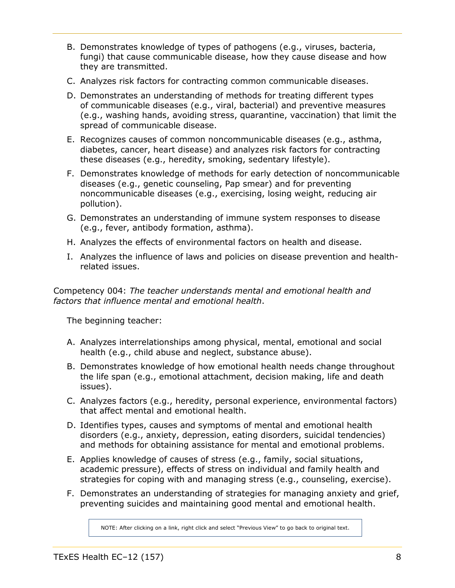- <span id="page-7-0"></span>B. Demonstrates knowledge of types of pathogens (e.g., viruses, bacteria, fungi) that cause communicable disease, how they cause disease and how they are transmitted.
- C. Analyzes risk factors for contracting common communicable diseases.
- D. Demonstrates an understanding of methods for treating different types of communicable diseases (e.g., viral, bacterial) and preventive measures (e.g., washing hands, avoiding stress, quarantine, vaccination) that limit the spread of communicable disease.
- E. Recognizes causes of common noncommunicable diseases (e.g., asthma, diabetes, cancer, heart disease) and analyzes risk factors for contracting these diseases (e.g., heredity, smoking, sedentary lifestyle).
- F. Demonstrates knowledge of methods for early detection of noncommunicable diseases (e.g., genetic counseling, Pap smear) and for preventing noncommunicable diseases (e.g., exercising, losing weight, reducing air pollution).
- G. Demonstrates an understanding of immune system responses to disease (e.g., fever, antibody formation, asthma).
- H. Analyzes the effects of environmental factors on health and disease.
- I. Analyzes the influence of laws and policies on disease prevention and healthrelated issues.

Competency 004: *The teacher understands mental and emotional health and factors that influence mental and emotional health*.

The beginning teacher:

- A. Analyzes interrelationships among physical, mental, emotional and social health (e.g., child abuse and neglect, substance abuse).
- B. Demonstrates knowledge of how emotional health needs change throughout the life span (e.g., emotional attachment, decision making, life and death issues).
- C. Analyzes factors (e.g., heredity, personal experience, environmental factors) that affect mental and emotional health.
- D. Identifies types, causes and symptoms of mental and emotional health disorders (e.g., anxiety, depression, eating disorders, suicidal tendencies) and methods for obtaining assistance for mental and emotional problems.
- E. Applies knowledge of causes of stress (e.g., family, social situations, academic pressure), effects of stress on individual and family health and strategies for coping with and managing stress (e.g., counseling, exercise).
- F. Demonstrates an understanding of strategies for managing anxiety and grief, preventing suicides and maintaining good mental and emotional health.

NOTE: After clicking on a link, right click and select "Previous View" to go back to original text.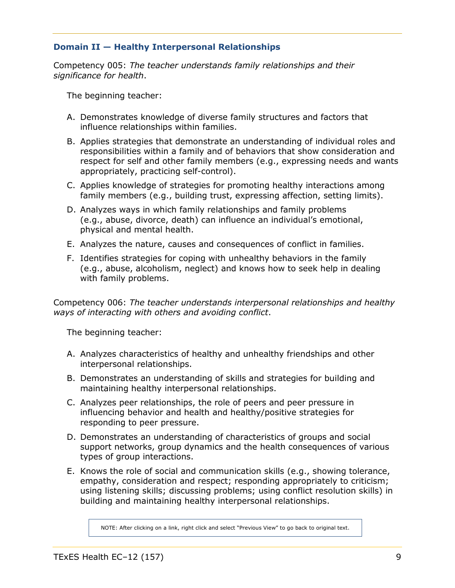#### <span id="page-8-0"></span>**Domain II — Healthy Interpersonal Relationships**

Competency 005: *The teacher understands family relationships and their significance for health*.

The beginning teacher:

- A. Demonstrates knowledge of diverse family structures and factors that influence relationships within families.
- B. Applies strategies that demonstrate an understanding of individual roles and responsibilities within a family and of behaviors that show consideration and respect for self and other family members (e.g., expressing needs and wants appropriately, practicing self-control).
- C. Applies knowledge of strategies for promoting healthy interactions among family members (e.g., building trust, expressing affection, setting limits).
- D. Analyzes ways in which family relationships and family problems (e.g., abuse, divorce, death) can influence an individual's emotional, physical and mental health.
- E. Analyzes the nature, causes and consequences of conflict in families.
- F. Identifies strategies for coping with unhealthy behaviors in the family (e.g., abuse, alcoholism, neglect) and knows how to seek help in dealing with family problems.

Competency 006: *The teacher understands interpersonal relationships and healthy ways of interacting with others and avoiding conflict*.

The beginning teacher:

- A. Analyzes characteristics of healthy and unhealthy friendships and other interpersonal relationships.
- B. Demonstrates an understanding of skills and strategies for building and maintaining healthy interpersonal relationships.
- C. Analyzes peer relationships, the role of peers and peer pressure in influencing behavior and health and healthy/positive strategies for responding to peer pressure.
- D. Demonstrates an understanding of characteristics of groups and social support networks, group dynamics and the health consequences of various types of group interactions.
- E. Knows the role of social and communication skills (e.g., showing tolerance, empathy, consideration and respect; responding appropriately to criticism; using listening skills; discussing problems; using conflict resolution skills) in building and maintaining healthy interpersonal relationships.

NOTE: After clicking on a link, right click and select "Previous View" to go back to original text.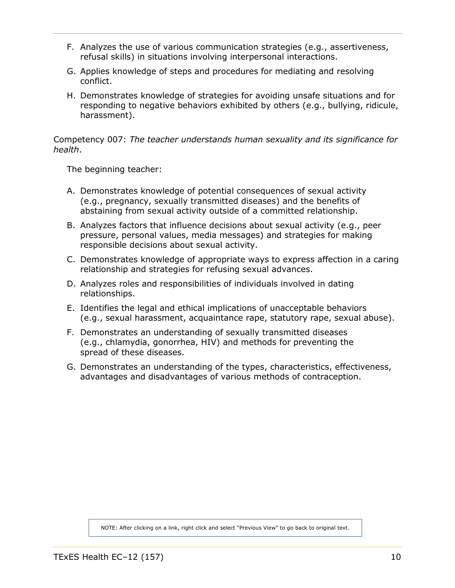- <span id="page-9-0"></span>F. Analyzes the use of various communication strategies (e.g., assertiveness, refusal skills) in situations involving interpersonal interactions.
- G. Applies knowledge of steps and procedures for mediating and resolving conflict.
- H. Demonstrates knowledge of strategies for avoiding unsafe situations and for responding to negative behaviors exhibited by others (e.g., bullying, ridicule, harassment).

Competency 007: *The teacher understands human sexuality and its significance for health*.

The beginning teacher:

- A. Demonstrates knowledge of potential consequences of sexual activity (e.g., pregnancy, sexually transmitted diseases) and the benefits of abstaining from sexual activity outside of a committed relationship.
- B. Analyzes factors that influence decisions about sexual activity (e.g., peer pressure, personal values, media messages) and strategies for making responsible decisions about sexual activity.
- C. Demonstrates knowledge of appropriate ways to express affection in a caring relationship and strategies for refusing sexual advances.
- D. Analyzes roles and responsibilities of individuals involved in dating relationships.
- E. Identifies the legal and ethical implications of unacceptable behaviors (e.g., sexual harassment, acquaintance rape, statutory rape, sexual abuse).
- F. Demonstrates an understanding of sexually transmitted diseases (e.g., chlamydia, gonorrhea, HIV) and methods for preventing the spread of these diseases.
- G. Demonstrates an understanding of the types, characteristics, effectiveness, advantages and disadvantages of various methods of contraception.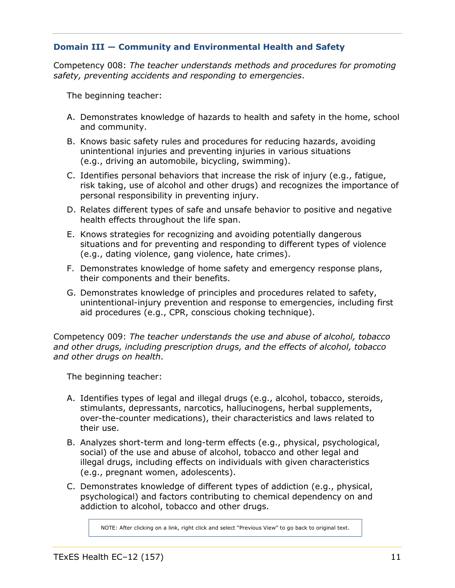#### <span id="page-10-0"></span>**Domain III — Community and Environmental Health and Safety**

Competency 008: *The teacher understands methods and procedures for promoting safety, preventing accidents and responding to emergencies*.

The beginning teacher:

- A. Demonstrates knowledge of hazards to health and safety in the home, school and community.
- B. Knows basic safety rules and procedures for reducing hazards, avoiding unintentional injuries and preventing injuries in various situations (e.g., driving an automobile, bicycling, swimming).
- C. Identifies personal behaviors that increase the risk of injury (e.g., fatigue, risk taking, use of alcohol and other drugs) and recognizes the importance of personal responsibility in preventing injury.
- D. Relates different types of safe and unsafe behavior to positive and negative health effects throughout the life span.
- E. Knows strategies for recognizing and avoiding potentially dangerous situations and for preventing and responding to different types of violence (e.g., dating violence, gang violence, hate crimes).
- F. Demonstrates knowledge of home safety and emergency response plans, their components and their benefits.
- G. Demonstrates knowledge of principles and procedures related to safety, unintentional-injury prevention and response to emergencies, including first aid procedures (e.g., CPR, conscious choking technique).

Competency 009: *The teacher understands the use and abuse of alcohol, tobacco and other drugs, including prescription drugs, and the effects of alcohol, tobacco and other drugs on health*.

The beginning teacher:

- A. Identifies types of legal and illegal drugs (e.g., alcohol, tobacco, steroids, stimulants, depressants, narcotics, hallucinogens, herbal supplements, over-the-counter medications), their characteristics and laws related to their use.
- B. Analyzes short-term and long-term effects (e.g., physical, psychological, social) of the use and abuse of alcohol, tobacco and other legal and illegal drugs, including effects on individuals with given characteristics (e.g., pregnant women, adolescents).
- C. Demonstrates knowledge of different types of addiction (e.g., physical, psychological) and factors contributing to chemical dependency on and addiction to alcohol, tobacco and other drugs.

NOTE: After clicking on a link, right click and select "Previous View" to go back to original text.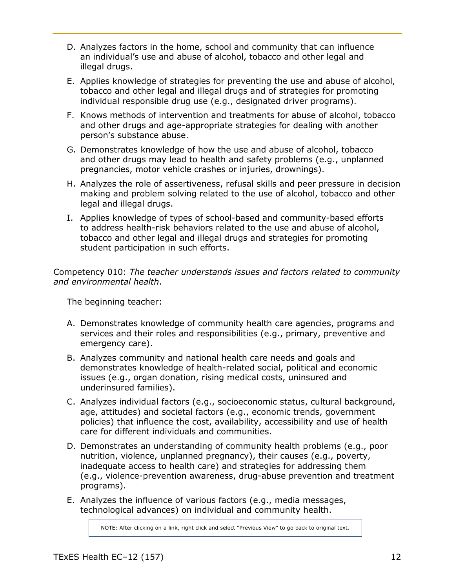- D. Analyzes factors in the home, school and community that can influence an individual's use and abuse of alcohol, tobacco and other legal and illegal drugs.
- E. Applies knowledge of strategies for preventing the use and abuse of alcohol, tobacco and other legal and illegal drugs and of strategies for promoting individual responsible drug use (e.g., designated driver programs).
- F. Knows methods of intervention and treatments for abuse of alcohol, tobacco and other drugs and age-appropriate strategies for dealing with another person's substance abuse.
- G. Demonstrates knowledge of how the use and abuse of alcohol, tobacco and other drugs may lead to health and safety problems (e.g., unplanned pregnancies, motor vehicle crashes or injuries, drownings).
- H. Analyzes the role of assertiveness, refusal skills and peer pressure in decision making and problem solving related to the use of alcohol, tobacco and other legal and illegal drugs.
- I. Applies knowledge of types of school-based and community-based efforts to address health-risk behaviors related to the use and abuse of alcohol, tobacco and other legal and illegal drugs and strategies for promoting student participation in such efforts.

Competency 010: *The teacher understands issues and factors related to community and environmental health*.

The beginning teacher:

- A. Demonstrates knowledge of community health care agencies, programs and services and their roles and responsibilities (e.g., primary, preventive and emergency care).
- B. Analyzes community and national health care needs and goals and demonstrates knowledge of health-related social, political and economic issues (e.g., organ donation, rising medical costs, uninsured and underinsured families).
- C. Analyzes individual factors (e.g., socioeconomic status, cultural background, age, attitudes) and societal factors (e.g., economic trends, government policies) that influence the cost, availability, accessibility and use of health care for different individuals and communities.
- D. Demonstrates an understanding of community health problems (e.g., poor nutrition, violence, unplanned pregnancy), their causes (e.g., poverty, inadequate access to health care) and strategies for addressing them (e.g., violence-prevention awareness, drug-abuse prevention and treatment programs).
- E. Analyzes the influence of various factors (e.g., media messages, technological advances) on individual and community health.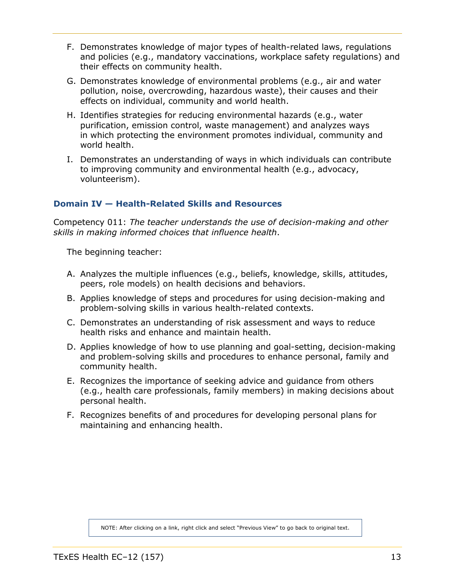- <span id="page-12-0"></span>F. Demonstrates knowledge of major types of health-related laws, regulations and policies (e.g., mandatory vaccinations, workplace safety regulations) and their effects on community health.
- G. Demonstrates knowledge of environmental problems (e.g., air and water pollution, noise, overcrowding, hazardous waste), their causes and their effects on individual, community and world health.
- H. Identifies strategies for reducing environmental hazards (e.g., water purification, emission control, waste management) and analyzes ways in which protecting the environment promotes individual, community and world health.
- I. Demonstrates an understanding of ways in which individuals can contribute to improving community and environmental health (e.g., advocacy, volunteerism).

#### **Domain IV — Health-Related Skills and Resources**

Competency 011: *The teacher understands the use of decision-making and other skills in making informed choices that influence health*.

The beginning teacher:

- A. Analyzes the multiple influences (e.g., beliefs, knowledge, skills, attitudes, peers, role models) on health decisions and behaviors.
- B. Applies knowledge of steps and procedures for using decision-making and problem-solving skills in various health-related contexts.
- C. Demonstrates an understanding of risk assessment and ways to reduce health risks and enhance and maintain health.
- D. Applies knowledge of how to use planning and goal-setting, decision-making and problem-solving skills and procedures to enhance personal, family and community health.
- E. Recognizes the importance of seeking advice and guidance from others (e.g., health care professionals, family members) in making decisions about personal health.
- F. Recognizes benefits of and procedures for developing personal plans for maintaining and enhancing health.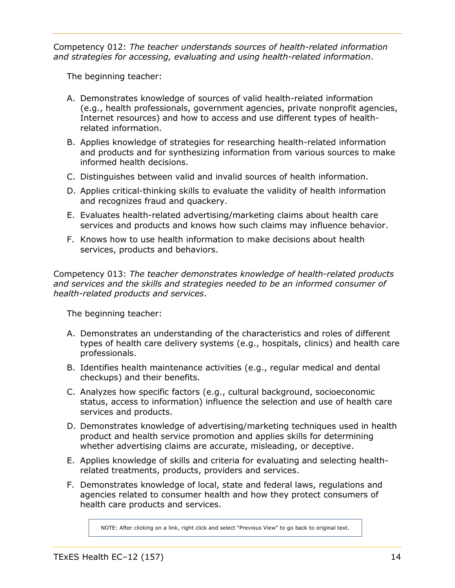Competency 012: *The teacher understands sources of health-related information and strategies for accessing, evaluating and using health-related information*.

The beginning teacher:

- A. Demonstrates knowledge of sources of valid health-related information (e.g., health professionals, government agencies, private nonprofit agencies, Internet resources) and how to access and use different types of healthrelated information.
- B. Applies knowledge of strategies for researching health-related information and products and for synthesizing information from various sources to make informed health decisions.
- C. Distinguishes between valid and invalid sources of health information.
- D. Applies critical-thinking skills to evaluate the validity of health information and recognizes fraud and quackery.
- E. Evaluates health-related advertising/marketing claims about health care services and products and knows how such claims may influence behavior.
- F. Knows how to use health information to make decisions about health services, products and behaviors.

Competency 013: *The teacher demonstrates knowledge of health-related products and services and the skills and strategies needed to be an informed consumer of health-related products and services*.

The beginning teacher:

- A. Demonstrates an understanding of the characteristics and roles of different types of health care delivery systems (e.g., hospitals, clinics) and health care professionals.
- B. Identifies health maintenance activities (e.g., regular medical and dental checkups) and their benefits.
- C. Analyzes how specific factors (e.g., cultural background, socioeconomic status, access to information) influence the selection and use of health care services and products.
- D. Demonstrates knowledge of advertising/marketing techniques used in health product and health service promotion and applies skills for determining whether advertising claims are accurate, misleading, or deceptive.
- E. Applies knowledge of skills and criteria for evaluating and selecting healthrelated treatments, products, providers and services.
- F. Demonstrates knowledge of local, state and federal laws, regulations and agencies related to consumer health and how they protect consumers of health care products and services.

NOTE: After clicking on a link, right click and select "Previous View" to go back to original text.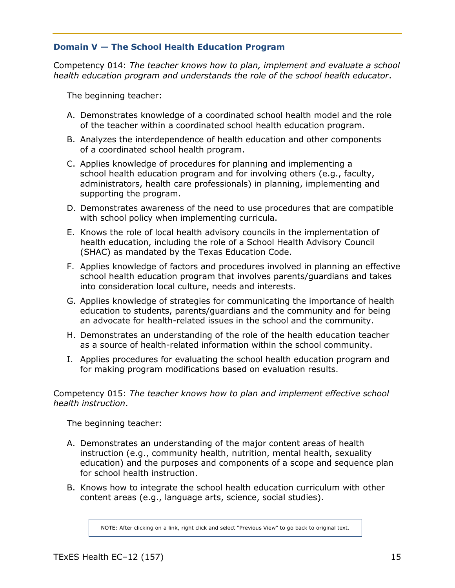#### <span id="page-14-0"></span>**Domain V — The School Health Education Program**

Competency 014: *The teacher knows how to plan, implement and evaluate a school health education program and understands the role of the school health educator*.

The beginning teacher:

- A. Demonstrates knowledge of a coordinated school health model and the role of the teacher within a coordinated school health education program.
- B. Analyzes the interdependence of health education and other components of a coordinated school health program.
- C. Applies knowledge of procedures for planning and implementing a school health education program and for involving others (e.g., faculty, administrators, health care professionals) in planning, implementing and supporting the program.
- D. Demonstrates awareness of the need to use procedures that are compatible with school policy when implementing curricula.
- E. Knows the role of local health advisory councils in the implementation of health education, including the role of a School Health Advisory Council (SHAC) as mandated by the Texas Education Code.
- F. Applies knowledge of factors and procedures involved in planning an effective school health education program that involves parents/guardians and takes into consideration local culture, needs and interests.
- G. Applies knowledge of strategies for communicating the importance of health education to students, parents/guardians and the community and for being an advocate for health-related issues in the school and the community.
- H. Demonstrates an understanding of the role of the health education teacher as a source of health-related information within the school community.
- I. Applies procedures for evaluating the school health education program and for making program modifications based on evaluation results.

Competency 015: *The teacher knows how to plan and implement effective school health instruction*.

The beginning teacher:

- A. Demonstrates an understanding of the major content areas of health instruction (e.g., community health, nutrition, mental health, sexuality education) and the purposes and components of a scope and sequence plan for school health instruction.
- B. Knows how to integrate the school health education curriculum with other content areas (e.g., language arts, science, social studies).

NOTE: After clicking on a link, right click and select "Previous View" to go back to original text.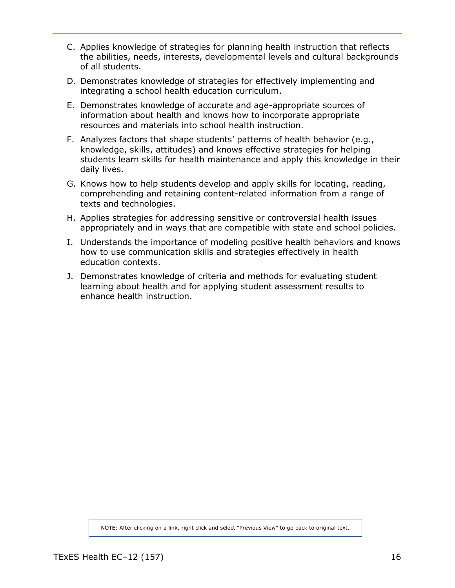- C. Applies knowledge of strategies for planning health instruction that reflects the abilities, needs, interests, developmental levels and cultural backgrounds of all students.
- D. Demonstrates knowledge of strategies for effectively implementing and integrating a school health education curriculum.
- E. Demonstrates knowledge of accurate and age-appropriate sources of information about health and knows how to incorporate appropriate resources and materials into school health instruction.
- F. Analyzes factors that shape students' patterns of health behavior (e.g., knowledge, skills, attitudes) and knows effective strategies for helping students learn skills for health maintenance and apply this knowledge in their daily lives.
- G. Knows how to help students develop and apply skills for locating, reading, comprehending and retaining content-related information from a range of texts and technologies.
- H. Applies strategies for addressing sensitive or controversial health issues appropriately and in ways that are compatible with state and school policies.
- I. Understands the importance of modeling positive health behaviors and knows how to use communication skills and strategies effectively in health education contexts.
- J. Demonstrates knowledge of criteria and methods for evaluating student learning about health and for applying student assessment results to enhance health instruction.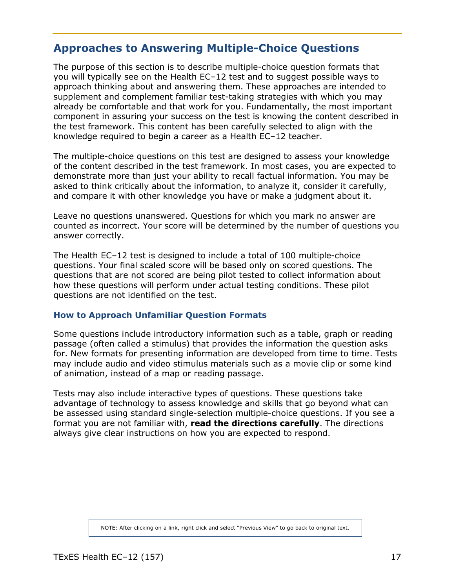### <span id="page-16-0"></span>**Approaches to Answering Multiple-Choice Questions**

The purpose of this section is to describe multiple-choice question formats that you will typically see on the Health EC–12 test and to suggest possible ways to approach thinking about and answering them. These approaches are intended to supplement and complement familiar test-taking strategies with which you may already be comfortable and that work for you. Fundamentally, the most important component in assuring your success on the test is knowing the content described in the test framework. This content has been carefully selected to align with the knowledge required to begin a career as a Health EC–12 teacher.

The multiple-choice questions on this test are designed to assess your knowledge of the content described in the test framework. In most cases, you are expected to demonstrate more than just your ability to recall factual information. You may be asked to think critically about the information, to analyze it, consider it carefully, and compare it with other knowledge you have or make a judgment about it.

Leave no questions unanswered. Questions for which you mark no answer are counted as incorrect. Your score will be determined by the number of questions you answer correctly.

The Health EC–12 test is designed to include a total of 100 multiple-choice questions. Your final scaled score will be based only on scored questions. The questions that are not scored are being pilot tested to collect information about how these questions will perform under actual testing conditions. These pilot questions are not identified on the test.

#### **How to Approach Unfamiliar Question Formats**

Some questions include introductory information such as a table, graph or reading passage (often called a stimulus) that provides the information the question asks for. New formats for presenting information are developed from time to time. Tests may include audio and video stimulus materials such as a movie clip or some kind of animation, instead of a map or reading passage.

Tests may also include interactive types of questions. These questions take advantage of technology to assess knowledge and skills that go beyond what can be assessed using standard single-selection multiple-choice questions. If you see a format you are not familiar with, **read the directions carefully**. The directions always give clear instructions on how you are expected to respond.

NOTE: After clicking on a link, right click and select "Previous View" to go back to original text.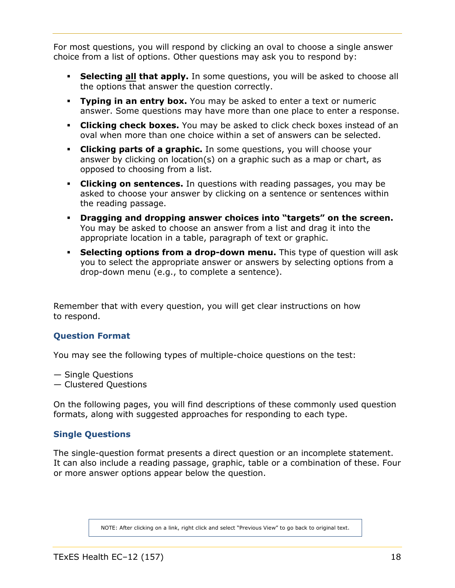<span id="page-17-0"></span>For most questions, you will respond by clicking an oval to choose a single answer choice from a list of options. Other questions may ask you to respond by:

- **Selecting all that apply.** In some questions, you will be asked to choose all the options that answer the question correctly.
- **Typing in an entry box.** You may be asked to enter a text or numeric answer. Some questions may have more than one place to enter a response.
- **Clicking check boxes.** You may be asked to click check boxes instead of an oval when more than one choice within a set of answers can be selected.
- **Clicking parts of a graphic.** In some questions, you will choose your answer by clicking on location(s) on a graphic such as a map or chart, as opposed to choosing from a list.
- **Clicking on sentences.** In questions with reading passages, you may be asked to choose your answer by clicking on a sentence or sentences within the reading passage.
- **Dragging and dropping answer choices into "targets" on the screen.** You may be asked to choose an answer from a list and drag it into the appropriate location in a table, paragraph of text or graphic.
- **Selecting options from a drop-down menu.** This type of question will ask you to select the appropriate answer or answers by selecting options from a drop-down menu (e.g., to complete a sentence).

Remember that with every question, you will get clear instructions on how to respond.

#### **Question Format**

You may see the following types of multiple-choice questions on the test:

— Single Questions

— Clustered Questions

On the following pages, you will find descriptions of these commonly used question formats, along with suggested approaches for responding to each type.

#### **Single Questions**

The single-question format presents a direct question or an incomplete statement. It can also include a reading passage, graphic, table or a combination of these. Four or more answer options appear below the question.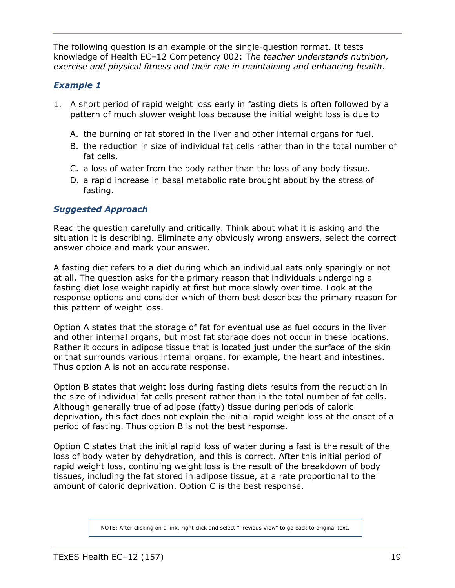The following question is an example of the single-question format. It tests knowledge of Health EC–12 Competency 002: T*he teacher understands nutrition, exercise and physical fitness and their role in maintaining and enhancing health*.

#### *Example 1*

- 1. A short period of rapid weight loss early in fasting diets is often followed by a pattern of much slower weight loss because the initial weight loss is due to
	- A. the burning of fat stored in the liver and other internal organs for fuel.
	- B. the reduction in size of individual fat cells rather than in the total number of fat cells.
	- C. a loss of water from the body rather than the loss of any body tissue.
	- D. a rapid increase in basal metabolic rate brought about by the stress of fasting.

#### *Suggested Approach*

Read the question carefully and critically. Think about what it is asking and the situation it is describing. Eliminate any obviously wrong answers, select the correct answer choice and mark your answer.

A fasting diet refers to a diet during which an individual eats only sparingly or not at all. The question asks for the primary reason that individuals undergoing a fasting diet lose weight rapidly at first but more slowly over time. Look at the response options and consider which of them best describes the primary reason for this pattern of weight loss.

Option A states that the storage of fat for eventual use as fuel occurs in the liver and other internal organs, but most fat storage does not occur in these locations. Rather it occurs in adipose tissue that is located just under the surface of the skin or that surrounds various internal organs, for example, the heart and intestines. Thus option A is not an accurate response.

Option B states that weight loss during fasting diets results from the reduction in the size of individual fat cells present rather than in the total number of fat cells. Although generally true of adipose (fatty) tissue during periods of caloric deprivation, this fact does not explain the initial rapid weight loss at the onset of a period of fasting. Thus option B is not the best response.

Option C states that the initial rapid loss of water during a fast is the result of the loss of body water by dehydration, and this is correct. After this initial period of rapid weight loss, continuing weight loss is the result of the breakdown of body tissues, including the fat stored in adipose tissue, at a rate proportional to the amount of caloric deprivation. Option C is the best response.

NOTE: After clicking on a link, right click and select "Previous View" to go back to original text.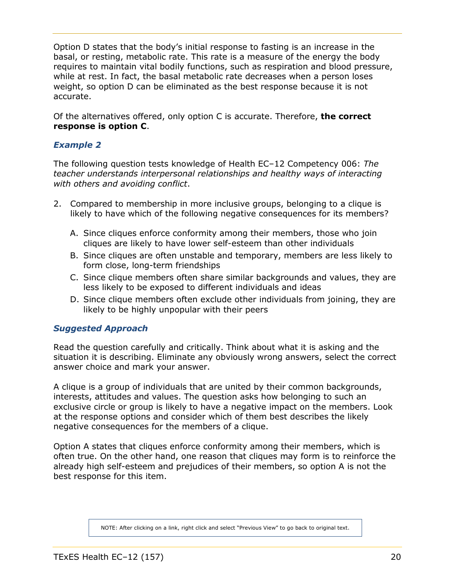Option D states that the body's initial response to fasting is an increase in the basal, or resting, metabolic rate. This rate is a measure of the energy the body requires to maintain vital bodily functions, such as respiration and blood pressure, while at rest. In fact, the basal metabolic rate decreases when a person loses weight, so option D can be eliminated as the best response because it is not accurate.

Of the alternatives offered, only option C is accurate. Therefore, **the correct response is option C**.

#### *Example 2*

The following question tests knowledge of Health EC–12 Competency 006: *The teacher understands interpersonal relationships and healthy ways of interacting with others and avoiding conflict*.

- 2. Compared to membership in more inclusive groups, belonging to a clique is likely to have which of the following negative consequences for its members?
	- A. Since cliques enforce conformity among their members, those who join cliques are likely to have lower self-esteem than other individuals
	- B. Since cliques are often unstable and temporary, members are less likely to form close, long-term friendships
	- C. Since clique members often share similar backgrounds and values, they are less likely to be exposed to different individuals and ideas
	- D. Since clique members often exclude other individuals from joining, they are likely to be highly unpopular with their peers

#### *Suggested Approach*

Read the question carefully and critically. Think about what it is asking and the situation it is describing. Eliminate any obviously wrong answers, select the correct answer choice and mark your answer.

A clique is a group of individuals that are united by their common backgrounds, interests, attitudes and values. The question asks how belonging to such an exclusive circle or group is likely to have a negative impact on the members. Look at the response options and consider which of them best describes the likely negative consequences for the members of a clique.

Option A states that cliques enforce conformity among their members, which is often true. On the other hand, one reason that cliques may form is to reinforce the already high self-esteem and prejudices of their members, so option A is not the best response for this item.

NOTE: After clicking on a link, right click and select "Previous View" to go back to original text.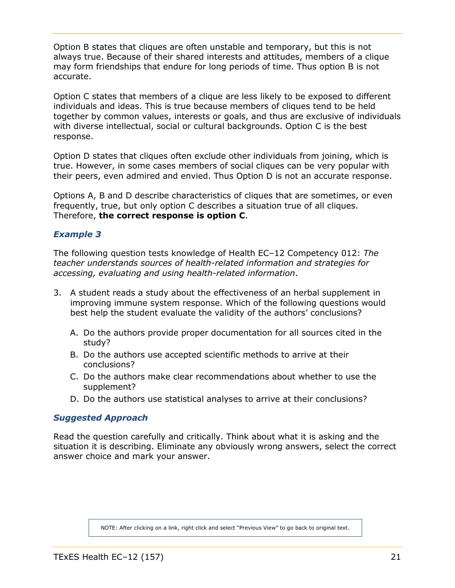Option B states that cliques are often unstable and temporary, but this is not always true. Because of their shared interests and attitudes, members of a clique may form friendships that endure for long periods of time. Thus option B is not accurate.

Option C states that members of a clique are less likely to be exposed to different individuals and ideas. This is true because members of cliques tend to be held together by common values, interests or goals, and thus are exclusive of individuals with diverse intellectual, social or cultural backgrounds. Option C is the best response.

Option D states that cliques often exclude other individuals from joining, which is true. However, in some cases members of social cliques can be very popular with their peers, even admired and envied. Thus Option D is not an accurate response.

Options A, B and D describe characteristics of cliques that are sometimes, or even frequently, true, but only option C describes a situation true of all cliques. Therefore, **the correct response is option C**.

#### *Example 3*

The following question tests knowledge of Health EC–12 Competency 012: *The teacher understands sources of health-related information and strategies for accessing, evaluating and using health-related information*.

- 3. A student reads a study about the effectiveness of an herbal supplement in improving immune system response. Which of the following questions would best help the student evaluate the validity of the authors' conclusions?
	- A. Do the authors provide proper documentation for all sources cited in the study?
	- B. Do the authors use accepted scientific methods to arrive at their conclusions?
	- C. Do the authors make clear recommendations about whether to use the supplement?
	- D. Do the authors use statistical analyses to arrive at their conclusions?

#### *Suggested Approach*

Read the question carefully and critically. Think about what it is asking and the situation it is describing. Eliminate any obviously wrong answers, select the correct answer choice and mark your answer.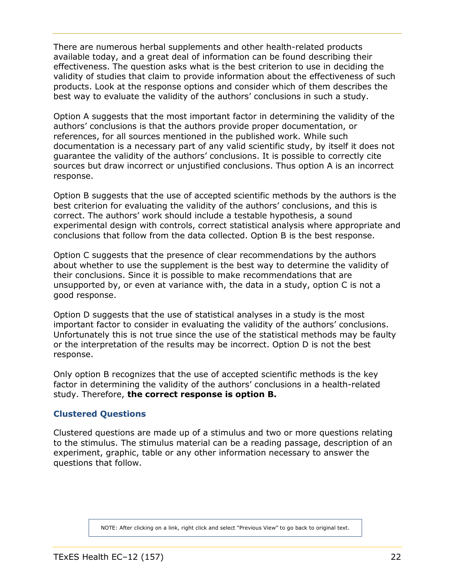There are numerous herbal supplements and other health-related products available today, and a great deal of information can be found describing their effectiveness. The question asks what is the best criterion to use in deciding the validity of studies that claim to provide information about the effectiveness of such products. Look at the response options and consider which of them describes the best way to evaluate the validity of the authors' conclusions in such a study.

Option A suggests that the most important factor in determining the validity of the authors' conclusions is that the authors provide proper documentation, or references, for all sources mentioned in the published work. While such documentation is a necessary part of any valid scientific study, by itself it does not guarantee the validity of the authors' conclusions. It is possible to correctly cite sources but draw incorrect or unjustified conclusions. Thus option A is an incorrect response.

Option B suggests that the use of accepted scientific methods by the authors is the best criterion for evaluating the validity of the authors' conclusions, and this is correct. The authors' work should include a testable hypothesis, a sound experimental design with controls, correct statistical analysis where appropriate and conclusions that follow from the data collected. Option B is the best response.

Option C suggests that the presence of clear recommendations by the authors about whether to use the supplement is the best way to determine the validity of their conclusions. Since it is possible to make recommendations that are unsupported by, or even at variance with, the data in a study, option C is not a good response.

Option D suggests that the use of statistical analyses in a study is the most important factor to consider in evaluating the validity of the authors' conclusions. Unfortunately this is not true since the use of the statistical methods may be faulty or the interpretation of the results may be incorrect. Option D is not the best response.

Only option B recognizes that the use of accepted scientific methods is the key factor in determining the validity of the authors' conclusions in a health-related study. Therefore, **the correct response is option B.**

#### **Clustered Questions**

Clustered questions are made up of a stimulus and two or more questions relating to the stimulus. The stimulus material can be a reading passage, description of an experiment, graphic, table or any other information necessary to answer the questions that follow.

NOTE: After clicking on a link, right click and select "Previous View" to go back to original text.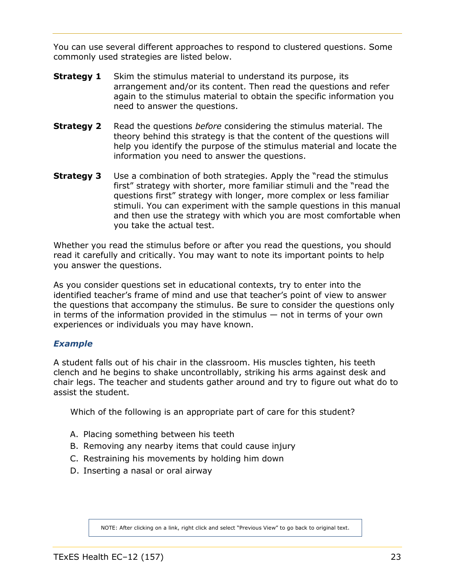You can use several different approaches to respond to clustered questions. Some commonly used strategies are listed below.

- **Strategy 1** Skim the stimulus material to understand its purpose, its arrangement and/or its content. Then read the questions and refer again to the stimulus material to obtain the specific information you need to answer the questions.
- **Strategy 2** Read the questions *before* considering the stimulus material. The theory behind this strategy is that the content of the questions will help you identify the purpose of the stimulus material and locate the information you need to answer the questions.
- **Strategy 3** Use a combination of both strategies. Apply the "read the stimulus first" strategy with shorter, more familiar stimuli and the "read the questions first" strategy with longer, more complex or less familiar stimuli. You can experiment with the sample questions in this manual and then use the strategy with which you are most comfortable when you take the actual test.

Whether you read the stimulus before or after you read the questions, you should read it carefully and critically. You may want to note its important points to help you answer the questions.

As you consider questions set in educational contexts, try to enter into the identified teacher's frame of mind and use that teacher's point of view to answer the questions that accompany the stimulus. Be sure to consider the questions only in terms of the information provided in the stimulus — not in terms of your own experiences or individuals you may have known.

#### *Example*

A student falls out of his chair in the classroom. His muscles tighten, his teeth clench and he begins to shake uncontrollably, striking his arms against desk and chair legs. The teacher and students gather around and try to figure out what do to assist the student.

Which of the following is an appropriate part of care for this student?

- A. Placing something between his teeth
- B. Removing any nearby items that could cause injury
- C. Restraining his movements by holding him down
- D. Inserting a nasal or oral airway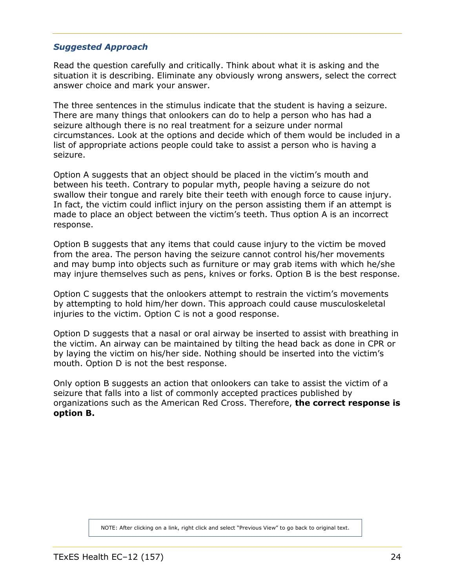#### *Suggested Approach*

Read the question carefully and critically. Think about what it is asking and the situation it is describing. Eliminate any obviously wrong answers, select the correct answer choice and mark your answer.

The three sentences in the stimulus indicate that the student is having a seizure. There are many things that onlookers can do to help a person who has had a seizure although there is no real treatment for a seizure under normal circumstances. Look at the options and decide which of them would be included in a list of appropriate actions people could take to assist a person who is having a seizure.

Option A suggests that an object should be placed in the victim's mouth and between his teeth. Contrary to popular myth, people having a seizure do not swallow their tongue and rarely bite their teeth with enough force to cause injury. In fact, the victim could inflict injury on the person assisting them if an attempt is made to place an object between the victim's teeth. Thus option A is an incorrect response.

Option B suggests that any items that could cause injury to the victim be moved from the area. The person having the seizure cannot control his/her movements and may bump into objects such as furniture or may grab items with which he/she may injure themselves such as pens, knives or forks. Option B is the best response.

Option C suggests that the onlookers attempt to restrain the victim's movements by attempting to hold him/her down. This approach could cause musculoskeletal injuries to the victim. Option C is not a good response.

Option D suggests that a nasal or oral airway be inserted to assist with breathing in the victim. An airway can be maintained by tilting the head back as done in CPR or by laying the victim on his/her side. Nothing should be inserted into the victim's mouth. Option D is not the best response.

Only option B suggests an action that onlookers can take to assist the victim of a seizure that falls into a list of commonly accepted practices published by organizations such as the American Red Cross. Therefore, **the correct response is option B.**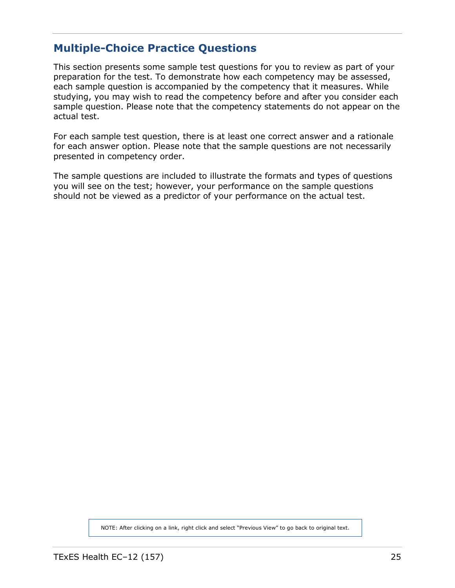### <span id="page-24-0"></span>**Multiple-Choice Practice Questions**

This section presents some sample test questions for you to review as part of your preparation for the test. To demonstrate how each competency may be assessed, each sample question is accompanied by the competency that it measures. While studying, you may wish to read the competency before and after you consider each sample question. Please note that the competency statements do not appear on the actual test.

For each sample test question, there is at least one correct answer and a rationale for each answer option. Please note that the sample questions are not necessarily presented in competency order.

The sample questions are included to illustrate the formats and types of questions you will see on the test; however, your performance on the sample questions should not be viewed as a predictor of your performance on the actual test.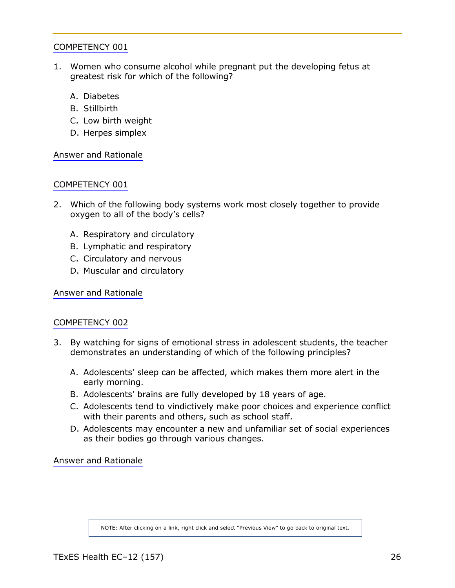- 1. Women who consume alcohol while pregnant put the developing fetus at greatest risk for which of the following?
	- A. Diabetes
	- B. Stillbirth
	- C. Low birth weight
	- D. Herpes simplex

[Answer and Rationale](#page-47-0)

#### [COMPETENCY 001](#page-5-0)

- 2. Which of the following body systems work most closely together to provide oxygen to all of the body's cells?
	- A. Respiratory and circulatory
	- B. Lymphatic and respiratory
	- C. Circulatory and nervous
	- D. Muscular and circulatory

[Answer and Rationale](#page-47-0)

#### [COMPETENCY 002](#page-6-0)

- 3. By watching for signs of emotional stress in adolescent students, the teacher demonstrates an understanding of which of the following principles?
	- A. Adolescents' sleep can be affected, which makes them more alert in the early morning.
	- B. Adolescents' brains are fully developed by 18 years of age.
	- C. Adolescents tend to vindictively make poor choices and experience conflict with their parents and others, such as school staff.
	- D. Adolescents may encounter a new and unfamiliar set of social experiences as their bodies go through various changes.

[Answer and Rationale](#page-48-0)

NOTE: After clicking on a link, right click and select "Previous View" to go back to original text.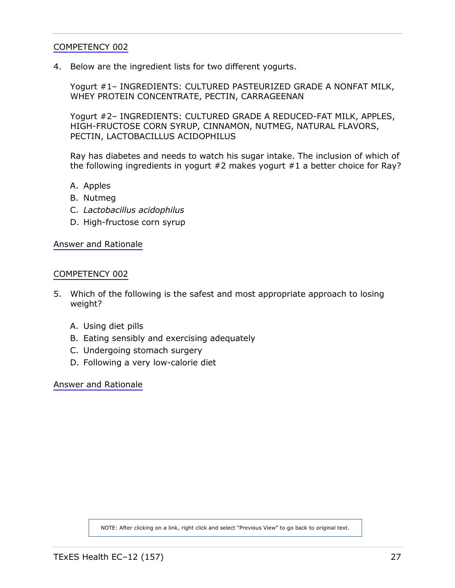4. Below are the ingredient lists for two different yogurts.

Yogurt #1– INGREDIENTS: CULTURED PASTEURIZED GRADE A NONFAT MILK, WHEY PROTEIN CONCENTRATE, PECTIN, CARRAGEENAN

Yogurt #2– INGREDIENTS: CULTURED GRADE A REDUCED-FAT MILK, APPLES, HIGH-FRUCTOSE CORN SYRUP, CINNAMON, NUTMEG, NATURAL FLAVORS, PECTIN, LACTOBACILLUS ACIDOPHILUS

Ray has diabetes and needs to watch his sugar intake. The inclusion of which of the following ingredients in yogurt #2 makes yogurt #1 a better choice for Ray?

- A. Apples
- B. Nutmeg
- C. *Lactobacillus acidophilus*
- D. High-fructose corn syrup

[Answer and Rationale](#page-48-1)

#### [COMPETENCY 002](#page-6-0)

- 5. Which of the following is the safest and most appropriate approach to losing weight?
	- A. Using diet pills
	- B. Eating sensibly and exercising adequately
	- C. Undergoing stomach surgery
	- D. Following a very low-calorie diet

[Answer and Rationale](#page-49-0)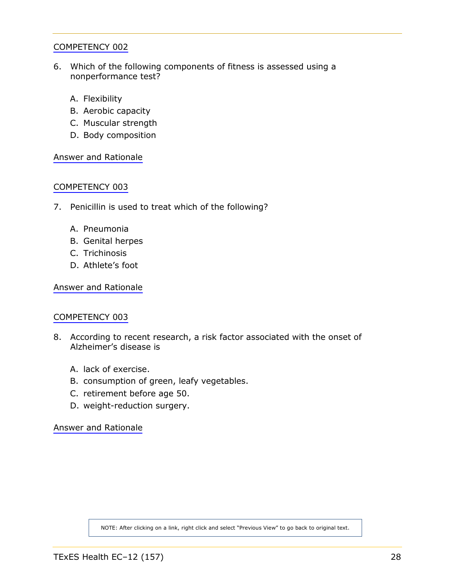- 6. Which of the following components of fitness is assessed using a nonperformance test?
	- A. Flexibility
	- B. Aerobic capacity
	- C. Muscular strength
	- D. Body composition

[Answer and Rationale](#page-49-1)

#### [COMPETENCY 003](#page-6-0)

- 7. Penicillin is used to treat which of the following?
	- A. Pneumonia
	- B. Genital herpes
	- C. Trichinosis
	- D. Athlete's foot

[Answer and Rationale](#page-50-0)

#### [COMPETENCY 003](#page-6-0)

- 8. According to recent research, a risk factor associated with the onset of Alzheimer's disease is
	- A. lack of exercise.
	- B. consumption of green, leafy vegetables.
	- C. retirement before age 50.
	- D. weight-reduction surgery.

[Answer and Rationale](#page-50-0)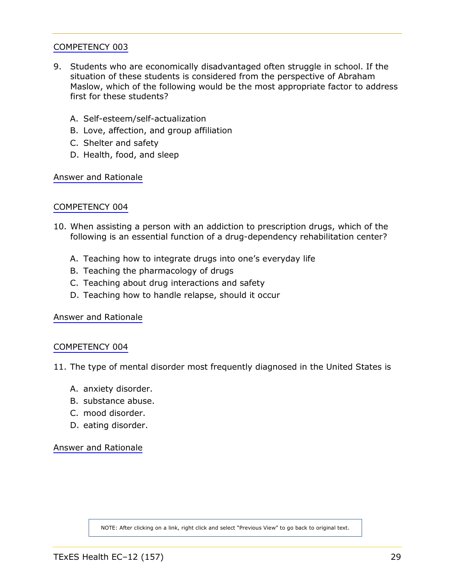- 9. Students who are economically disadvantaged often struggle in school. If the situation of these students is considered from the perspective of Abraham Maslow, which of the following would be the most appropriate factor to address first for these students?
	- A. Self-esteem/self-actualization
	- B. Love, affection, and group affiliation
	- C. Shelter and safety
	- D. Health, food, and sleep

[Answer and Rationale](#page-51-0)

#### [COMPETENCY 004](#page-7-0)

- 10. When assisting a person with an addiction to prescription drugs, which of the following is an essential function of a drug-dependency rehabilitation center?
	- A. Teaching how to integrate drugs into one's everyday life
	- B. Teaching the pharmacology of drugs
	- C. Teaching about drug interactions and safety
	- D. Teaching how to handle relapse, should it occur

[Answer and Rationale](#page-51-0)

#### [COMPETENCY 004](#page-7-0)

11. The type of mental disorder most frequently diagnosed in the United States is

- A. anxiety disorder.
- B. substance abuse.
- C. mood disorder.
- D. eating disorder.

[Answer and Rationale](#page-52-0)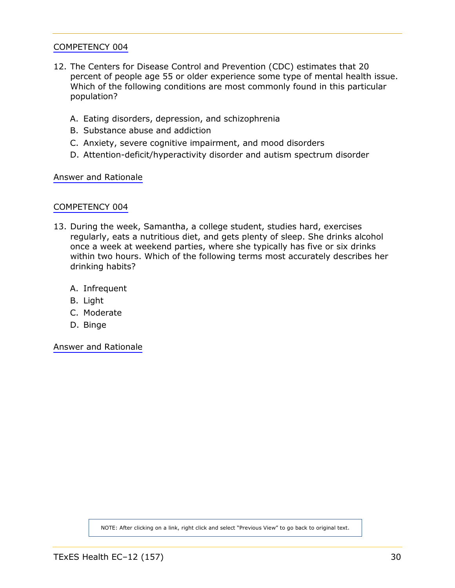- 12. The Centers for Disease Control and Prevention (CDC) estimates that 20 percent of people age 55 or older experience some type of mental health issue. Which of the following conditions are most commonly found in this particular population?
	- A. Eating disorders, depression, and schizophrenia
	- B. Substance abuse and addiction
	- C. Anxiety, severe cognitive impairment, and mood disorders
	- D. Attention-deficit/hyperactivity disorder and autism spectrum disorder

[Answer and Rationale](#page-52-1)

#### [COMPETENCY 004](#page-7-0)

- 13. During the week, Samantha, a college student, studies hard, exercises regularly, eats a nutritious diet, and gets plenty of sleep. She drinks alcohol once a week at weekend parties, where she typically has five or six drinks within two hours. Which of the following terms most accurately describes her drinking habits?
	- A. Infrequent
	- B. Light
	- C. Moderate
	- D. Binge

[Answer and Rationale](#page-53-0)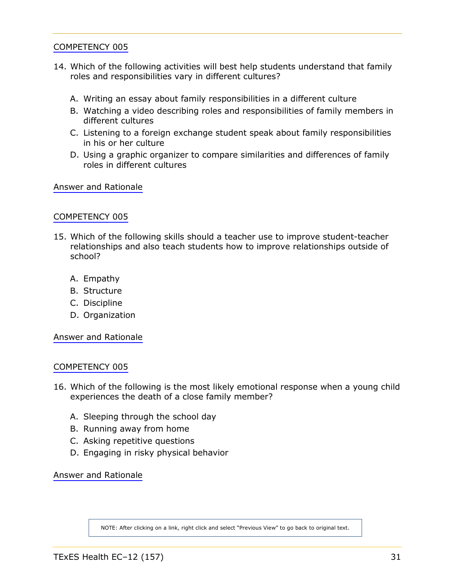- 14. Which of the following activities will best help students understand that family roles and responsibilities vary in different cultures?
	- A. Writing an essay about family responsibilities in a different culture
	- B. Watching a video describing roles and responsibilities of family members in different cultures
	- C. Listening to a foreign exchange student speak about family responsibilities in his or her culture
	- D. Using a graphic organizer to compare similarities and differences of family roles in different cultures

[Answer and Rationale](#page-53-1)

#### [COMPETENCY 005](#page-8-0)

- 15. Which of the following skills should a teacher use to improve student-teacher relationships and also teach students how to improve relationships outside of school?
	- A. Empathy
	- B. Structure
	- C. Discipline
	- D. Organization

[Answer and Rationale](#page-54-0)

#### [COMPETENCY 005](#page-8-0)

- 16. Which of the following is the most likely emotional response when a young child experiences the death of a close family member?
	- A. Sleeping through the school day
	- B. Running away from home
	- C. Asking repetitive questions
	- D. Engaging in risky physical behavior

[Answer and Rationale](#page-54-1)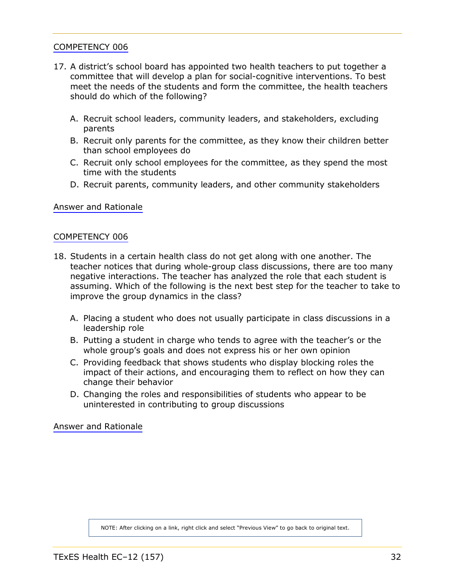- 17. A district's school board has appointed two health teachers to put together a committee that will develop a plan for social-cognitive interventions. To best meet the needs of the students and form the committee, the health teachers should do which of the following?
	- A. Recruit school leaders, community leaders, and stakeholders, excluding parents
	- B. Recruit only parents for the committee, as they know their children better than school employees do
	- C. Recruit only school employees for the committee, as they spend the most time with the students
	- D. Recruit parents, community leaders, and other community stakeholders

[Answer and Rationale](#page-55-0)

#### [COMPETENCY 006](#page-8-0)

- 18. Students in a certain health class do not get along with one another. The teacher notices that during whole-group class discussions, there are too many negative interactions. The teacher has analyzed the role that each student is assuming. Which of the following is the next best step for the teacher to take to improve the group dynamics in the class?
	- A. Placing a student who does not usually participate in class discussions in a leadership role
	- B. Putting a student in charge who tends to agree with the teacher's or the whole group's goals and does not express his or her own opinion
	- C. Providing feedback that shows students who display blocking roles the impact of their actions, and encouraging them to reflect on how they can change their behavior
	- D. Changing the roles and responsibilities of students who appear to be uninterested in contributing to group discussions

[Answer and Rationale](#page-55-1)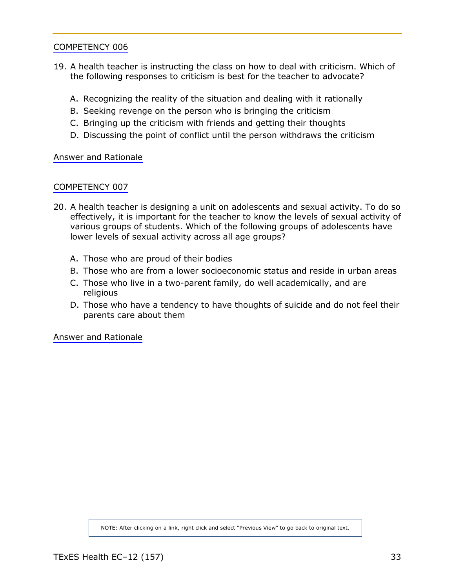- 19. A health teacher is instructing the class on how to deal with criticism. Which of the following responses to criticism is best for the teacher to advocate?
	- A. Recognizing the reality of the situation and dealing with it rationally
	- B. Seeking revenge on the person who is bringing the criticism
	- C. Bringing up the criticism with friends and getting their thoughts
	- D. Discussing the point of conflict until the person withdraws the criticism

[Answer and Rationale](#page-56-0)

#### [COMPETENCY 007](#page-9-0)

- 20. A health teacher is designing a unit on adolescents and sexual activity. To do so effectively, it is important for the teacher to know the levels of sexual activity of various groups of students. Which of the following groups of adolescents have lower levels of sexual activity across all age groups?
	- A. Those who are proud of their bodies
	- B. Those who are from a lower socioeconomic status and reside in urban areas
	- C. Those who live in a two-parent family, do well academically, and are religious
	- D. Those who have a tendency to have thoughts of suicide and do not feel their parents care about them

[Answer and Rationale](#page-56-1)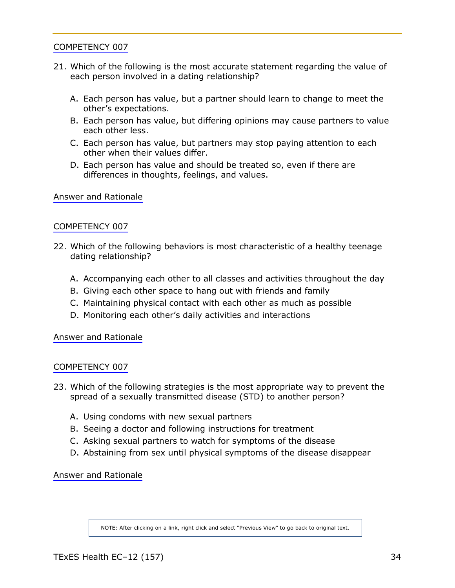- 21. Which of the following is the most accurate statement regarding the value of each person involved in a dating relationship?
	- A. Each person has value, but a partner should learn to change to meet the other's expectations.
	- B. Each person has value, but differing opinions may cause partners to value each other less.
	- C. Each person has value, but partners may stop paying attention to each other when their values differ.
	- D. Each person has value and should be treated so, even if there are differences in thoughts, feelings, and values.

[Answer and Rationale](#page-57-0)

#### [COMPETENCY 007](#page-9-0)

- 22. Which of the following behaviors is most characteristic of a healthy teenage dating relationship?
	- A. Accompanying each other to all classes and activities throughout the day
	- B. Giving each other space to hang out with friends and family
	- C. Maintaining physical contact with each other as much as possible
	- D. Monitoring each other's daily activities and interactions

[Answer and Rationale](#page-57-0)

#### [COMPETENCY 007](#page-9-0)

- 23. Which of the following strategies is the most appropriate way to prevent the spread of a sexually transmitted disease (STD) to another person?
	- A. Using condoms with new sexual partners
	- B. Seeing a doctor and following instructions for treatment
	- C. Asking sexual partners to watch for symptoms of the disease
	- D. Abstaining from sex until physical symptoms of the disease disappear

[Answer and Rationale](#page-58-0)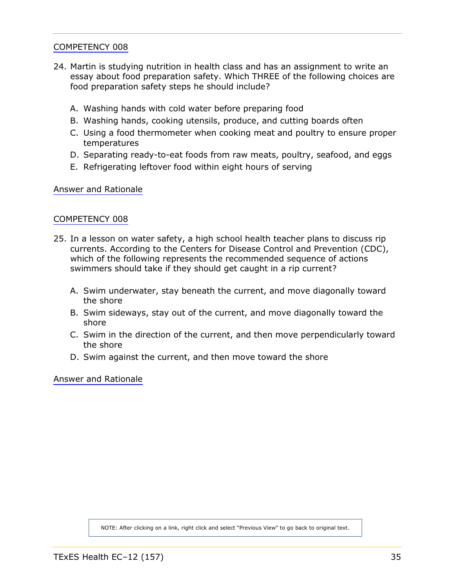- 24. Martin is studying nutrition in health class and has an assignment to write an essay about food preparation safety. Which THREE of the following choices are food preparation safety steps he should include?
	- A. Washing hands with cold water before preparing food
	- B. Washing hands, cooking utensils, produce, and cutting boards often
	- C. Using a food thermometer when cooking meat and poultry to ensure proper temperatures
	- D. Separating ready-to-eat foods from raw meats, poultry, seafood, and eggs
	- E. Refrigerating leftover food within eight hours of serving

[Answer and Rationale](#page-58-1)

#### [COMPETENCY 008](#page-10-0)

- 25. In a lesson on water safety, a high school health teacher plans to discuss rip currents. According to the Centers for Disease Control and Prevention (CDC), which of the following represents the recommended sequence of actions swimmers should take if they should get caught in a rip current?
	- A. Swim underwater, stay beneath the current, and move diagonally toward the shore
	- B. Swim sideways, stay out of the current, and move diagonally toward the shore
	- C. Swim in the direction of the current, and then move perpendicularly toward the shore
	- D. Swim against the current, and then move toward the shore

[Answer and Rationale](#page-59-0)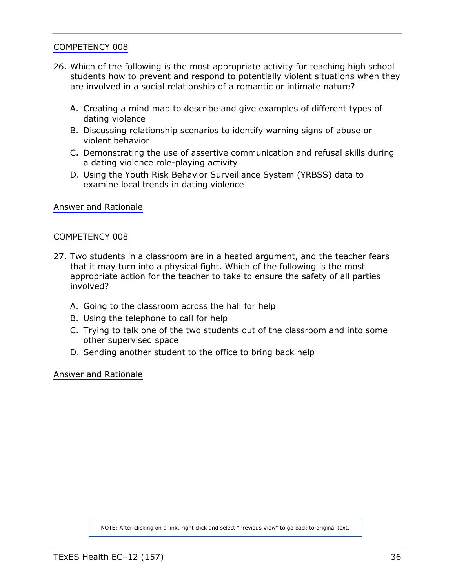- 26. Which of the following is the most appropriate activity for teaching high school students how to prevent and respond to potentially violent situations when they are involved in a social relationship of a romantic or intimate nature?
	- A. Creating a mind map to describe and give examples of different types of dating violence
	- B. Discussing relationship scenarios to identify warning signs of abuse or violent behavior
	- C. Demonstrating the use of assertive communication and refusal skills during a dating violence role-playing activity
	- D. Using the Youth Risk Behavior Surveillance System (YRBSS) data to examine local trends in dating violence

[Answer and Rationale](#page-59-1)

#### [COMPETENCY 008](#page-10-0)

- 27. Two students in a classroom are in a heated argument, and the teacher fears that it may turn into a physical fight. Which of the following is the most appropriate action for the teacher to take to ensure the safety of all parties involved?
	- A. Going to the classroom across the hall for help
	- B. Using the telephone to call for help
	- C. Trying to talk one of the two students out of the classroom and into some other supervised space
	- D. Sending another student to the office to bring back help

[Answer and Rationale](#page-60-0)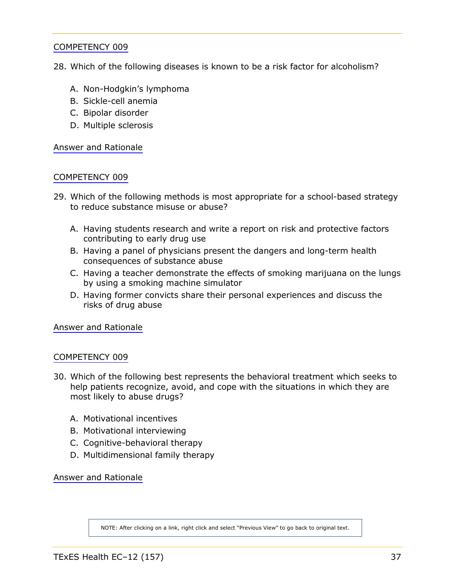<span id="page-36-1"></span><span id="page-36-0"></span>28. Which of the following diseases is known to be a risk factor for alcoholism?

- A. Non-Hodgkin's lymphoma
- B. Sickle-cell anemia
- C. Bipolar disorder
- D. Multiple sclerosis

[Answer and Rationale](#page-60-0)

#### [COMPETENCY 009](#page-10-0)

- 29. Which of the following methods is most appropriate for a school-based strategy to reduce substance misuse or abuse?
	- A. Having students research and write a report on risk and protective factors contributing to early drug use
	- B. Having a panel of physicians present the dangers and long-term health consequences of substance abuse
	- C. Having a teacher demonstrate the effects of smoking marijuana on the lungs by using a smoking machine simulator
	- D. Having former convicts share their personal experiences and discuss the risks of drug abuse

[Answer and Rationale](#page-61-0)

#### [COMPETENCY 009](#page-10-0)

- 30. Which of the following best represents the behavioral treatment which seeks to help patients recognize, avoid, and cope with the situations in which they are most likely to abuse drugs?
	- A. Motivational incentives
	- B. Motivational interviewing
	- C. Cognitive-behavioral therapy
	- D. Multidimensional family therapy

[Answer and Rationale](#page-62-0)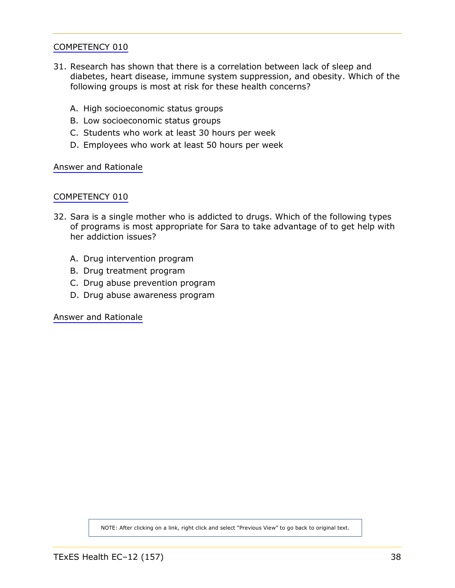- <span id="page-37-1"></span><span id="page-37-0"></span>31. Research has shown that there is a correlation between lack of sleep and diabetes, heart disease, immune system suppression, and obesity. Which of the following groups is most at risk for these health concerns?
	- A. High socioeconomic status groups
	- B. Low socioeconomic status groups
	- C. Students who work at least 30 hours per week
	- D. Employees who work at least 50 hours per week

[Answer and Rationale](#page-62-1)

#### [COMPETENCY 010](#page-11-0)

- 32. Sara is a single mother who is addicted to drugs. Which of the following types of programs is most appropriate for Sara to take advantage of to get help with her addiction issues?
	- A. Drug intervention program
	- B. Drug treatment program
	- C. Drug abuse prevention program
	- D. Drug abuse awareness program

[Answer and Rationale](#page-63-0)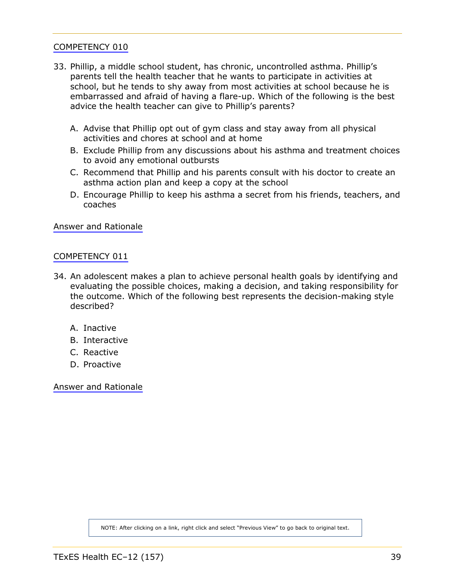- <span id="page-38-1"></span><span id="page-38-0"></span>33. Phillip, a middle school student, has chronic, uncontrolled asthma. Phillip's parents tell the health teacher that he wants to participate in activities at school, but he tends to shy away from most activities at school because he is embarrassed and afraid of having a flare-up. Which of the following is the best advice the health teacher can give to Phillip's parents?
	- A. Advise that Phillip opt out of gym class and stay away from all physical activities and chores at school and at home
	- B. Exclude Phillip from any discussions about his asthma and treatment choices to avoid any emotional outbursts
	- C. Recommend that Phillip and his parents consult with his doctor to create an asthma action plan and keep a copy at the school
	- D. Encourage Phillip to keep his asthma a secret from his friends, teachers, and coaches

[Answer and Rationale](#page-63-1)

#### [COMPETENCY 011](#page-12-0)

- 34. An adolescent makes a plan to achieve personal health goals by identifying and evaluating the possible choices, making a decision, and taking responsibility for the outcome. Which of the following best represents the decision-making style described?
	- A. Inactive
	- B. Interactive
	- C. Reactive
	- D. Proactive

[Answer and Rationale](#page-64-0)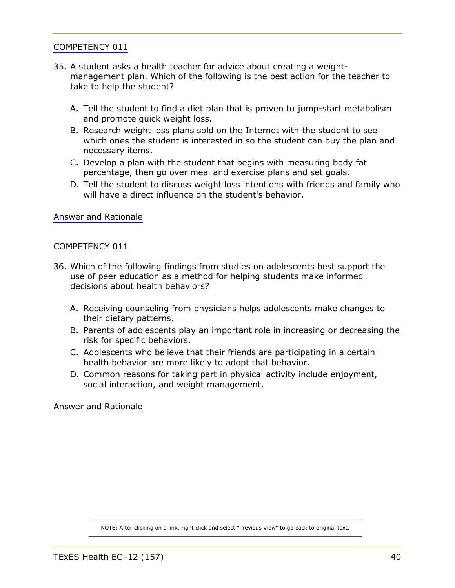- <span id="page-39-1"></span><span id="page-39-0"></span>35. A student asks a health teacher for advice about creating a weightmanagement plan. Which of the following is the best action for the teacher to take to help the student?
	- A. Tell the student to find a diet plan that is proven to jump-start metabolism and promote quick weight loss.
	- B. Research weight loss plans sold on the Internet with the student to see which ones the student is interested in so the student can buy the plan and necessary items.
	- C. Develop a plan with the student that begins with measuring body fat percentage, then go over meal and exercise plans and set goals.
	- D. Tell the student to discuss weight loss intentions with friends and family who will have a direct influence on the student's behavior.

[Answer and Rationale](#page-64-1)

#### [COMPETENCY 011](#page-12-0)

- 36. Which of the following findings from studies on adolescents best support the use of peer education as a method for helping students make informed decisions about health behaviors?
	- A. Receiving counseling from physicians helps adolescents make changes to their dietary patterns.
	- B. Parents of adolescents play an important role in increasing or decreasing the risk for specific behaviors.
	- C. Adolescents who believe that their friends are participating in a certain health behavior are more likely to adopt that behavior.
	- D. Common reasons for taking part in physical activity include enjoyment, social interaction, and weight management.

[Answer and Rationale](#page-65-0)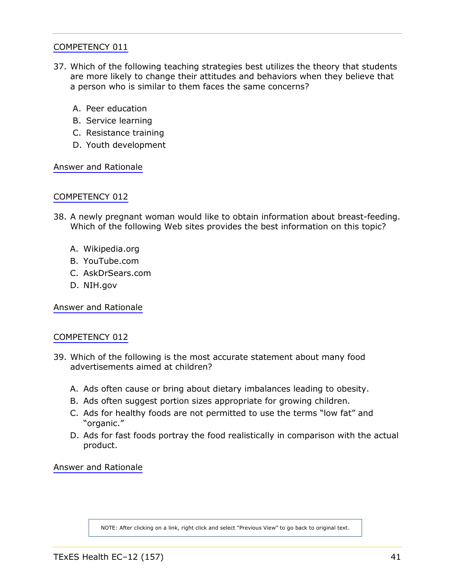- <span id="page-40-1"></span><span id="page-40-0"></span>37. Which of the following teaching strategies best utilizes the theory that students are more likely to change their attitudes and behaviors when they believe that a person who is similar to them faces the same concerns?
	- A. Peer education
	- B. Service learning
	- C. Resistance training
	- D. Youth development

[Answer and Rationale](#page-65-1)

#### [COMPETENCY 012](#page-13-0)

- 38. A newly pregnant woman would like to obtain information about breast-feeding. Which of the following Web sites provides the best information on this topic?
	- A. Wikipedia.org
	- B. YouTube.com
	- C. AskDrSears.com
	- D. NIH.gov

[Answer and Rationale](#page-66-0)

#### [COMPETENCY 012](#page-13-0)

- 39. Which of the following is the most accurate statement about many food advertisements aimed at children?
	- A. Ads often cause or bring about dietary imbalances leading to obesity.
	- B. Ads often suggest portion sizes appropriate for growing children.
	- C. Ads for healthy foods are not permitted to use the terms "low fat" and "organic."
	- D. Ads for fast foods portray the food realistically in comparison with the actual product.

[Answer and Rationale](#page-66-1)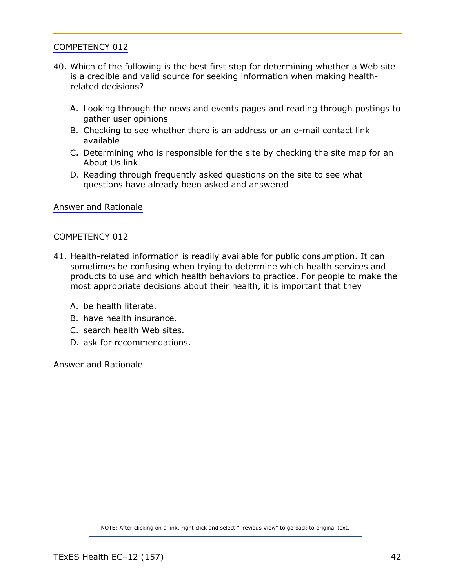- <span id="page-41-0"></span>40. Which of the following is the best first step for determining whether a Web site is a credible and valid source for seeking information when making healthrelated decisions?
	- A. Looking through the news and events pages and reading through postings to gather user opinions
	- B. Checking to see whether there is an address or an e-mail contact link available
	- C. Determining who is responsible for the site by checking the site map for an About Us link
	- D. Reading through frequently asked questions on the site to see what questions have already been asked and answered

[Answer and Rationale](#page-67-0)

#### [COMPETENCY 012](#page-13-0)

- 41. Health-related information is readily available for public consumption. It can sometimes be confusing when trying to determine which health services and products to use and which health behaviors to practice. For people to make the most appropriate decisions about their health, it is important that they
	- A. be health literate.
	- B. have health insurance.
	- C. search health Web sites.
	- D. ask for recommendations.

[Answer and Rationale](#page-68-0)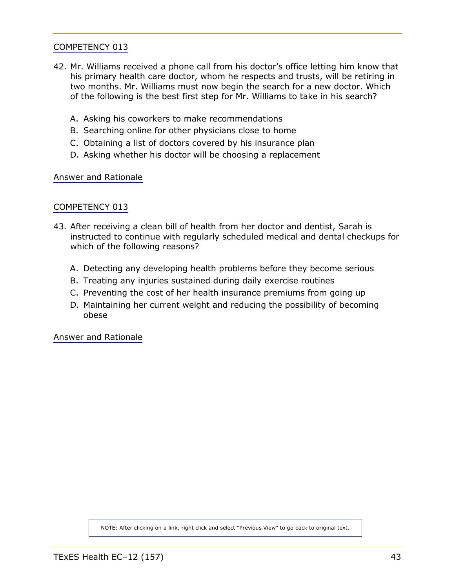- <span id="page-42-1"></span><span id="page-42-0"></span>42. Mr. Williams received a phone call from his doctor's office letting him know that his primary health care doctor, whom he respects and trusts, will be retiring in two months. Mr. Williams must now begin the search for a new doctor. Which of the following is the best first step for Mr. Williams to take in his search?
	- A. Asking his coworkers to make recommendations
	- B. Searching online for other physicians close to home
	- C. Obtaining a list of doctors covered by his insurance plan
	- D. Asking whether his doctor will be choosing a replacement

[Answer and Rationale](#page-69-0)

#### [COMPETENCY 013](#page-13-0)

- 43. After receiving a clean bill of health from her doctor and dentist, Sarah is instructed to continue with regularly scheduled medical and dental checkups for which of the following reasons?
	- A. Detecting any developing health problems before they become serious
	- B. Treating any injuries sustained during daily exercise routines
	- C. Preventing the cost of her health insurance premiums from going up
	- D. Maintaining her current weight and reducing the possibility of becoming obese

[Answer and Rationale](#page-69-0)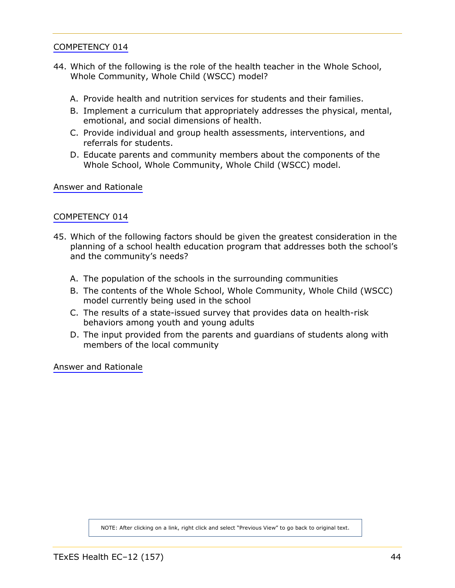- <span id="page-43-1"></span><span id="page-43-0"></span>44. Which of the following is the role of the health teacher in the Whole School, Whole Community, Whole Child (WSCC) model?
	- A. Provide health and nutrition services for students and their families.
	- B. Implement a curriculum that appropriately addresses the physical, mental, emotional, and social dimensions of health.
	- C. Provide individual and group health assessments, interventions, and referrals for students.
	- D. Educate parents and community members about the components of the Whole School, Whole Community, Whole Child (WSCC) model.

[Answer and Rationale](#page-70-0)

# [COMPETENCY 014](#page-14-0)

- 45. Which of the following factors should be given the greatest consideration in the planning of a school health education program that addresses both the school's and the community's needs?
	- A. The population of the schools in the surrounding communities
	- B. The contents of the Whole School, Whole Community, Whole Child (WSCC) model currently being used in the school
	- C. The results of a state-issued survey that provides data on health-risk behaviors among youth and young adults
	- D. The input provided from the parents and guardians of students along with members of the local community

[Answer and Rationale](#page-70-1)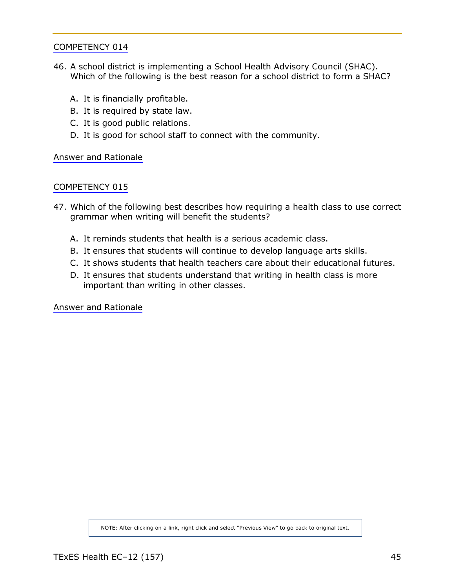- <span id="page-44-1"></span><span id="page-44-0"></span>46. A school district is implementing a School Health Advisory Council (SHAC). Which of the following is the best reason for a school district to form a SHAC?
	- A. It is financially profitable.
	- B. It is required by state law.
	- C. It is good public relations.
	- D. It is good for school staff to connect with the community.

[Answer and Rationale](#page-71-0)

#### [COMPETENCY 015](#page-14-0)

- 47. Which of the following best describes how requiring a health class to use correct grammar when writing will benefit the students?
	- A. It reminds students that health is a serious academic class.
	- B. It ensures that students will continue to develop language arts skills.
	- C. It shows students that health teachers care about their educational futures.
	- D. It ensures that students understand that writing in health class is more important than writing in other classes.

[Answer and Rationale](#page-71-1)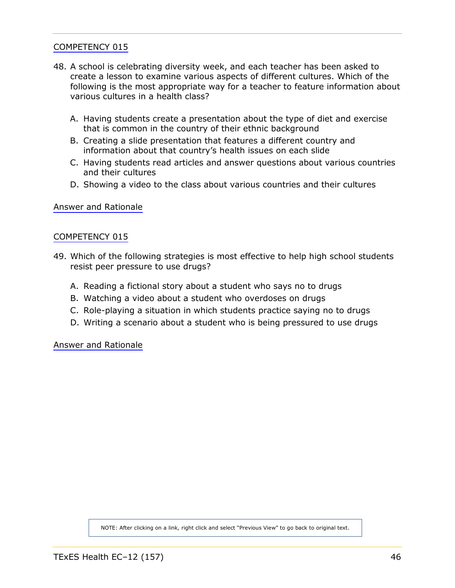- 48. A school is celebrating diversity week, and each teacher has been asked to create a lesson to examine various aspects of different cultures. Which of the following is the most appropriate way for a teacher to feature information about various cultures in a health class?
	- A. Having students create a presentation about the type of diet and exercise that is common in the country of their ethnic background
	- B. Creating a slide presentation that features a different country and information about that country's health issues on each slide
	- C. Having students read articles and answer questions about various countries and their cultures
	- D. Showing a video to the class about various countries and their cultures

[Answer and Rationale](#page-72-0)

# [COMPETENCY 015](#page-14-0)

- 49. Which of the following strategies is most effective to help high school students resist peer pressure to use drugs?
	- A. Reading a fictional story about a student who says no to drugs
	- B. Watching a video about a student who overdoses on drugs
	- C. Role-playing a situation in which students practice saying no to drugs
	- D. Writing a scenario about a student who is being pressured to use drugs

[Answer and Rationale](#page-72-1)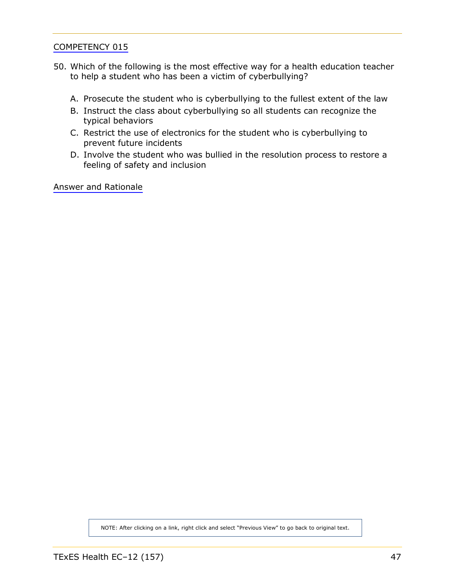- 50. Which of the following is the most effective way for a health education teacher to help a student who has been a victim of cyberbullying?
	- A. Prosecute the student who is cyberbullying to the fullest extent of the law
	- B. Instruct the class about cyberbullying so all students can recognize the typical behaviors
	- C. Restrict the use of electronics for the student who is cyberbullying to prevent future incidents
	- D. Involve the student who was bullied in the resolution process to restore a feeling of safety and inclusion

[Answer and Rationale](#page-73-0)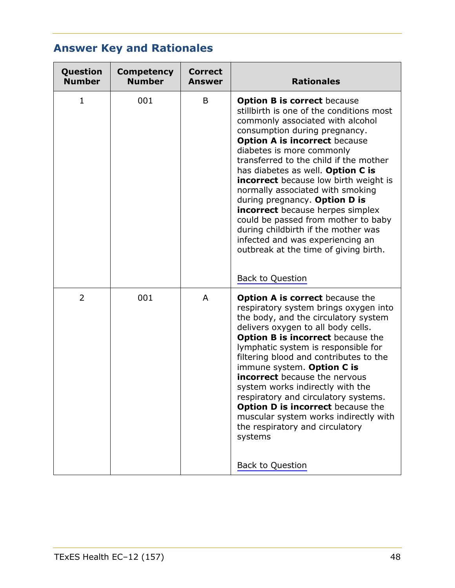# **Answer Key and Rationales**

| Question<br><b>Number</b> | <b>Competency</b><br><b>Number</b> | <b>Correct</b><br><b>Answer</b> | <b>Rationales</b>                                                                                                                                                                                                                                                                                                                                                                                                                                                                                                                                                                                                                  |
|---------------------------|------------------------------------|---------------------------------|------------------------------------------------------------------------------------------------------------------------------------------------------------------------------------------------------------------------------------------------------------------------------------------------------------------------------------------------------------------------------------------------------------------------------------------------------------------------------------------------------------------------------------------------------------------------------------------------------------------------------------|
| $\mathbf{1}$              | 001                                | B                               | <b>Option B is correct because</b><br>stillbirth is one of the conditions most<br>commonly associated with alcohol<br>consumption during pregnancy.<br><b>Option A is incorrect because</b><br>diabetes is more commonly<br>transferred to the child if the mother<br>has diabetes as well. Option C is<br><b>incorrect</b> because low birth weight is<br>normally associated with smoking<br>during pregnancy. Option D is<br><b>incorrect</b> because herpes simplex<br>could be passed from mother to baby<br>during childbirth if the mother was<br>infected and was experiencing an<br>outbreak at the time of giving birth. |
|                           |                                    |                                 | Back to Question                                                                                                                                                                                                                                                                                                                                                                                                                                                                                                                                                                                                                   |
| 2                         | 001                                | A                               | <b>Option A is correct</b> because the<br>respiratory system brings oxygen into<br>the body, and the circulatory system<br>delivers oxygen to all body cells.<br><b>Option B is incorrect</b> because the<br>lymphatic system is responsible for<br>filtering blood and contributes to the<br>immune system. Option C is<br>incorrect because the nervous<br>system works indirectly with the<br>respiratory and circulatory systems.<br><b>Option D is incorrect</b> because the<br>muscular system works indirectly with<br>the respiratory and circulatory<br>systems<br><b>Back to Question</b>                                |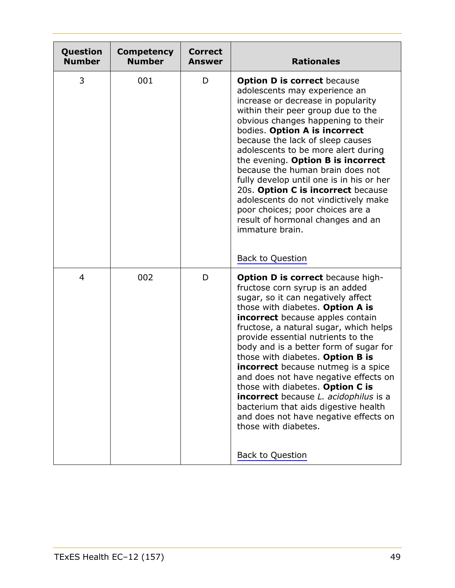| Question<br><b>Number</b> | <b>Competency</b><br><b>Number</b> | <b>Correct</b><br><b>Answer</b> | <b>Rationales</b>                                                                                                                                                                                                                                                                                                                                                                                                                                                                                                                                                                                                                                                             |
|---------------------------|------------------------------------|---------------------------------|-------------------------------------------------------------------------------------------------------------------------------------------------------------------------------------------------------------------------------------------------------------------------------------------------------------------------------------------------------------------------------------------------------------------------------------------------------------------------------------------------------------------------------------------------------------------------------------------------------------------------------------------------------------------------------|
| 3                         | 001                                | D                               | <b>Option D is correct because</b><br>adolescents may experience an<br>increase or decrease in popularity<br>within their peer group due to the<br>obvious changes happening to their<br>bodies. Option A is incorrect<br>because the lack of sleep causes<br>adolescents to be more alert during<br>the evening. Option B is incorrect<br>because the human brain does not<br>fully develop until one is in his or her<br>20s. Option C is incorrect because<br>adolescents do not vindictively make<br>poor choices; poor choices are a<br>result of hormonal changes and an<br>immature brain.<br><b>Back to Question</b>                                                  |
| 4                         | 002                                | D                               | <b>Option D is correct because high-</b><br>fructose corn syrup is an added<br>sugar, so it can negatively affect<br>those with diabetes. Option A is<br><b>incorrect</b> because apples contain<br>fructose, a natural sugar, which helps<br>provide essential nutrients to the<br>body and is a better form of sugar for<br>those with diabetes. Option B is<br><b>incorrect</b> because nutmeg is a spice<br>and does not have negative effects on<br>those with diabetes. Option C is<br><b>incorrect</b> because L. acidophilus is a<br>bacterium that aids digestive health<br>and does not have negative effects on<br>those with diabetes.<br><b>Back to Question</b> |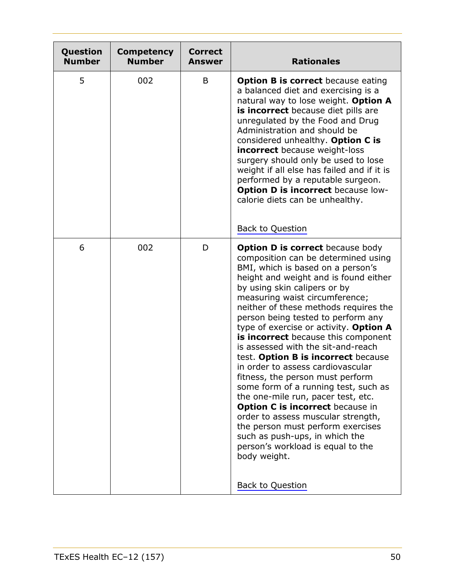| Question<br><b>Number</b> | <b>Competency</b><br><b>Number</b> | <b>Correct</b><br><b>Answer</b> | <b>Rationales</b>                                                                                                                                                                                                                                                                                                                                                                                                                                                                                                                                                                                                                                                                                                                                                                                                                                                   |
|---------------------------|------------------------------------|---------------------------------|---------------------------------------------------------------------------------------------------------------------------------------------------------------------------------------------------------------------------------------------------------------------------------------------------------------------------------------------------------------------------------------------------------------------------------------------------------------------------------------------------------------------------------------------------------------------------------------------------------------------------------------------------------------------------------------------------------------------------------------------------------------------------------------------------------------------------------------------------------------------|
| 5                         | 002                                | B                               | <b>Option B is correct</b> because eating<br>a balanced diet and exercising is a<br>natural way to lose weight. Option A<br>is incorrect because diet pills are<br>unregulated by the Food and Drug<br>Administration and should be<br>considered unhealthy. Option C is<br><b>incorrect</b> because weight-loss<br>surgery should only be used to lose<br>weight if all else has failed and if it is<br>performed by a reputable surgeon.<br><b>Option D is incorrect</b> because low-<br>calorie diets can be unhealthy.<br><b>Back to Question</b>                                                                                                                                                                                                                                                                                                               |
| 6                         | 002                                | D                               | <b>Option D is correct</b> because body<br>composition can be determined using<br>BMI, which is based on a person's<br>height and weight and is found either<br>by using skin calipers or by<br>measuring waist circumference;<br>neither of these methods requires the<br>person being tested to perform any<br>type of exercise or activity. Option A<br>is incorrect because this component<br>is assessed with the sit-and-reach<br>test. Option B is incorrect because<br>in order to assess cardiovascular<br>fitness, the person must perform<br>some form of a running test, such as<br>the one-mile run, pacer test, etc.<br>Option C is incorrect because in<br>order to assess muscular strength,<br>the person must perform exercises<br>such as push-ups, in which the<br>person's workload is equal to the<br>body weight.<br><b>Back to Question</b> |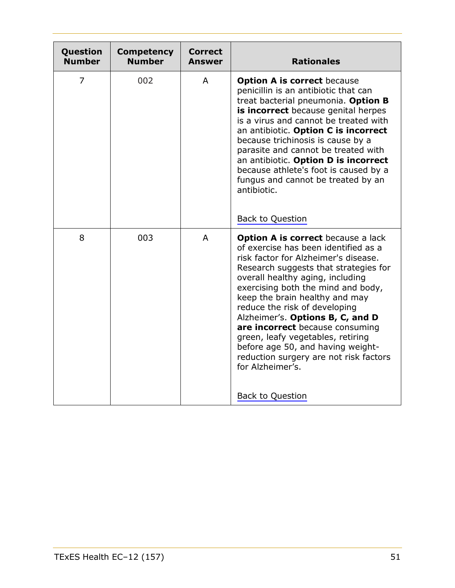| Question<br><b>Number</b> | <b>Competency</b><br><b>Number</b> | <b>Correct</b><br><b>Answer</b> | <b>Rationales</b>                                                                                                                                                                                                                                                                                                                                                                                                                                                                                                                                         |
|---------------------------|------------------------------------|---------------------------------|-----------------------------------------------------------------------------------------------------------------------------------------------------------------------------------------------------------------------------------------------------------------------------------------------------------------------------------------------------------------------------------------------------------------------------------------------------------------------------------------------------------------------------------------------------------|
| 7                         | 002                                | A                               | <b>Option A is correct because</b><br>penicillin is an antibiotic that can<br>treat bacterial pneumonia. Option B<br><b>is incorrect</b> because genital herpes<br>is a virus and cannot be treated with<br>an antibiotic. Option C is incorrect<br>because trichinosis is cause by a<br>parasite and cannot be treated with<br>an antibiotic. Option D is incorrect<br>because athlete's foot is caused by a<br>fungus and cannot be treated by an<br>antibiotic.<br>Back to Question                                                                    |
| 8                         | 003                                | A                               | <b>Option A is correct</b> because a lack<br>of exercise has been identified as a<br>risk factor for Alzheimer's disease.<br>Research suggests that strategies for<br>overall healthy aging, including<br>exercising both the mind and body,<br>keep the brain healthy and may<br>reduce the risk of developing<br>Alzheimer's. Options B, C, and D<br>are incorrect because consuming<br>green, leafy vegetables, retiring<br>before age 50, and having weight-<br>reduction surgery are not risk factors<br>for Alzheimer's.<br><b>Back to Question</b> |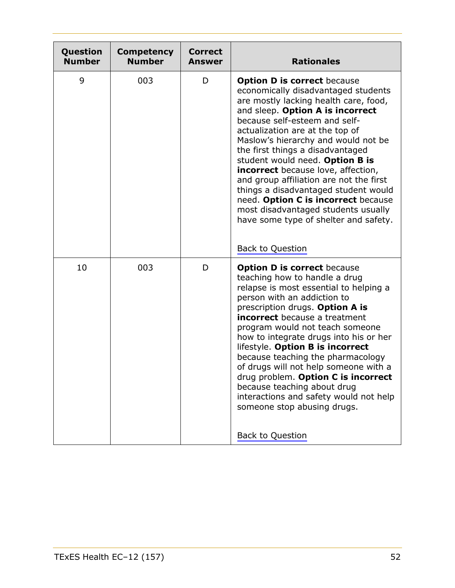| Question<br><b>Number</b> | <b>Competency</b><br><b>Number</b> | <b>Correct</b><br><b>Answer</b> | <b>Rationales</b>                                                                                                                                                                                                                                                                                                                                                                                                                                                                                                                                                                                |
|---------------------------|------------------------------------|---------------------------------|--------------------------------------------------------------------------------------------------------------------------------------------------------------------------------------------------------------------------------------------------------------------------------------------------------------------------------------------------------------------------------------------------------------------------------------------------------------------------------------------------------------------------------------------------------------------------------------------------|
| 9                         | 003                                | D                               | <b>Option D is correct because</b><br>economically disadvantaged students<br>are mostly lacking health care, food,<br>and sleep. Option A is incorrect<br>because self-esteem and self-<br>actualization are at the top of<br>Maslow's hierarchy and would not be<br>the first things a disadvantaged<br>student would need. Option B is<br>incorrect because love, affection,<br>and group affiliation are not the first<br>things a disadvantaged student would<br>need. Option C is incorrect because<br>most disadvantaged students usually<br>have some type of shelter and safety.         |
|                           |                                    |                                 | <b>Back to Question</b>                                                                                                                                                                                                                                                                                                                                                                                                                                                                                                                                                                          |
| 10                        | 003                                | D                               | <b>Option D is correct because</b><br>teaching how to handle a drug<br>relapse is most essential to helping a<br>person with an addiction to<br>prescription drugs. Option A is<br><b>incorrect</b> because a treatment<br>program would not teach someone<br>how to integrate drugs into his or her<br>lifestyle. Option B is incorrect<br>because teaching the pharmacology<br>of drugs will not help someone with a<br>drug problem. Option C is incorrect<br>because teaching about drug<br>interactions and safety would not help<br>someone stop abusing drugs.<br><b>Back to Question</b> |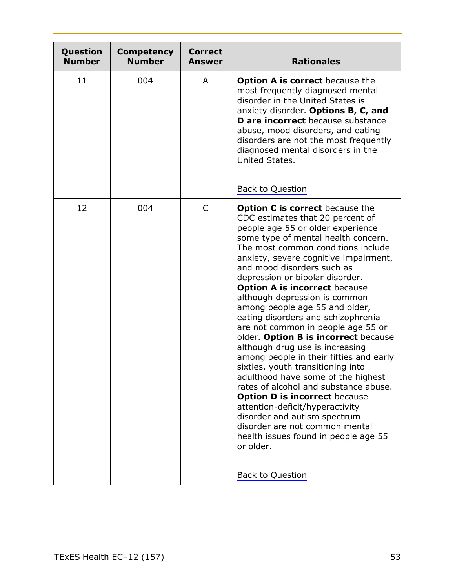| Question<br><b>Number</b> | <b>Competency</b><br><b>Number</b> | <b>Correct</b><br><b>Answer</b> | <b>Rationales</b>                                                                                                                                                                                                                                                                                                                                                                                                                                                                                                                                                                                                                                                                                                                                                                                                                                                                                                                                                    |
|---------------------------|------------------------------------|---------------------------------|----------------------------------------------------------------------------------------------------------------------------------------------------------------------------------------------------------------------------------------------------------------------------------------------------------------------------------------------------------------------------------------------------------------------------------------------------------------------------------------------------------------------------------------------------------------------------------------------------------------------------------------------------------------------------------------------------------------------------------------------------------------------------------------------------------------------------------------------------------------------------------------------------------------------------------------------------------------------|
| 11                        | 004                                | A                               | <b>Option A is correct</b> because the<br>most frequently diagnosed mental<br>disorder in the United States is<br>anxiety disorder. Options B, C, and<br><b>D</b> are incorrect because substance<br>abuse, mood disorders, and eating<br>disorders are not the most frequently<br>diagnosed mental disorders in the<br>United States.<br><b>Back to Question</b>                                                                                                                                                                                                                                                                                                                                                                                                                                                                                                                                                                                                    |
| 12                        | 004                                | $\mathsf{C}$                    | <b>Option C is correct because the</b><br>CDC estimates that 20 percent of<br>people age 55 or older experience<br>some type of mental health concern.<br>The most common conditions include<br>anxiety, severe cognitive impairment,<br>and mood disorders such as<br>depression or bipolar disorder.<br><b>Option A is incorrect because</b><br>although depression is common<br>among people age 55 and older,<br>eating disorders and schizophrenia<br>are not common in people age 55 or<br>older. Option B is incorrect because<br>although drug use is increasing<br>among people in their fifties and early<br>sixties, youth transitioning into<br>adulthood have some of the highest<br>rates of alcohol and substance abuse.<br><b>Option D is incorrect because</b><br>attention-deficit/hyperactivity<br>disorder and autism spectrum<br>disorder are not common mental<br>health issues found in people age 55<br>or older.<br><b>Back to Question</b> |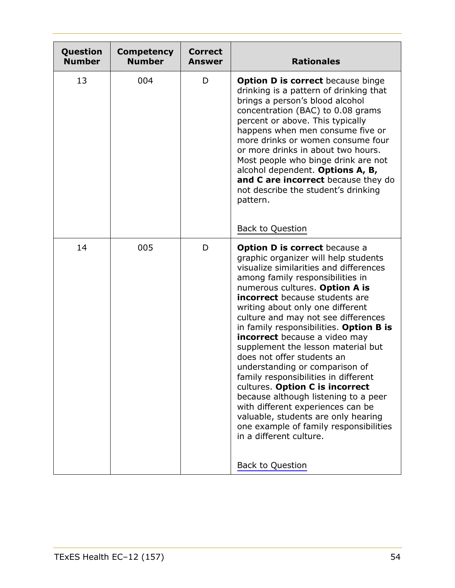| Question<br><b>Number</b> | <b>Competency</b><br><b>Number</b> | <b>Correct</b><br><b>Answer</b> | <b>Rationales</b>                                                                                                                                                                                                                                                                                                                                                                                                                                                                                                                                                                                                                                                                                                                                                                                        |
|---------------------------|------------------------------------|---------------------------------|----------------------------------------------------------------------------------------------------------------------------------------------------------------------------------------------------------------------------------------------------------------------------------------------------------------------------------------------------------------------------------------------------------------------------------------------------------------------------------------------------------------------------------------------------------------------------------------------------------------------------------------------------------------------------------------------------------------------------------------------------------------------------------------------------------|
| 13                        | 004                                | D                               | <b>Option D is correct</b> because binge<br>drinking is a pattern of drinking that<br>brings a person's blood alcohol<br>concentration (BAC) to 0.08 grams<br>percent or above. This typically<br>happens when men consume five or<br>more drinks or women consume four<br>or more drinks in about two hours.<br>Most people who binge drink are not<br>alcohol dependent. Options A, B,<br>and C are incorrect because they do<br>not describe the student's drinking<br>pattern.<br><b>Back to Question</b>                                                                                                                                                                                                                                                                                            |
| 14                        | 005                                | D                               | <b>Option D is correct</b> because a<br>graphic organizer will help students<br>visualize similarities and differences<br>among family responsibilities in<br>numerous cultures. Option A is<br><b>incorrect</b> because students are<br>writing about only one different<br>culture and may not see differences<br>in family responsibilities. Option B is<br><b>incorrect</b> because a video may<br>supplement the lesson material but<br>does not offer students an<br>understanding or comparison of<br>family responsibilities in different<br>cultures. Option C is incorrect<br>because although listening to a peer<br>with different experiences can be<br>valuable, students are only hearing<br>one example of family responsibilities<br>in a different culture.<br><b>Back to Question</b> |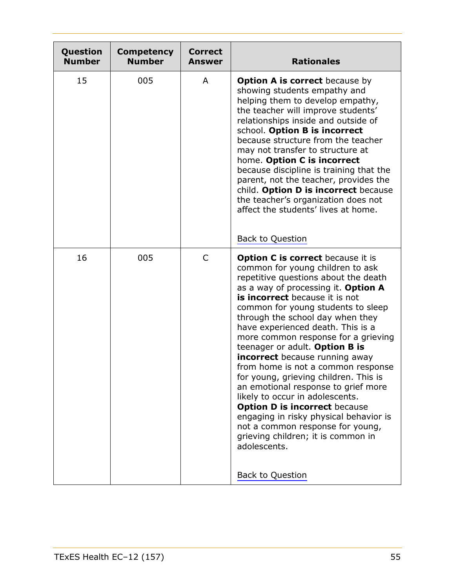| Question<br><b>Number</b> | <b>Competency</b><br><b>Number</b> | <b>Correct</b><br><b>Answer</b> | <b>Rationales</b>                                                                                                                                                                                                                                                                                                                                                                                                                                                                                                                                                                                                                                                                                                                                                                              |
|---------------------------|------------------------------------|---------------------------------|------------------------------------------------------------------------------------------------------------------------------------------------------------------------------------------------------------------------------------------------------------------------------------------------------------------------------------------------------------------------------------------------------------------------------------------------------------------------------------------------------------------------------------------------------------------------------------------------------------------------------------------------------------------------------------------------------------------------------------------------------------------------------------------------|
| 15                        | 005                                | A                               | <b>Option A is correct</b> because by<br>showing students empathy and<br>helping them to develop empathy,<br>the teacher will improve students'<br>relationships inside and outside of<br>school. Option B is incorrect<br>because structure from the teacher<br>may not transfer to structure at<br>home. Option C is incorrect<br>because discipline is training that the<br>parent, not the teacher, provides the<br>child. Option D is incorrect because<br>the teacher's organization does not<br>affect the students' lives at home.<br><b>Back to Question</b>                                                                                                                                                                                                                          |
| 16                        | 005                                | $\mathsf{C}$                    | <b>Option C is correct</b> because it is<br>common for young children to ask<br>repetitive questions about the death<br>as a way of processing it. Option A<br>is incorrect because it is not<br>common for young students to sleep<br>through the school day when they<br>have experienced death. This is a<br>more common response for a grieving<br>teenager or adult. Option B is<br><b>incorrect</b> because running away<br>from home is not a common response<br>for young, grieving children. This is<br>an emotional response to grief more<br>likely to occur in adolescents.<br><b>Option D is incorrect because</b><br>engaging in risky physical behavior is<br>not a common response for young,<br>grieving children; it is common in<br>adolescents.<br><b>Back to Question</b> |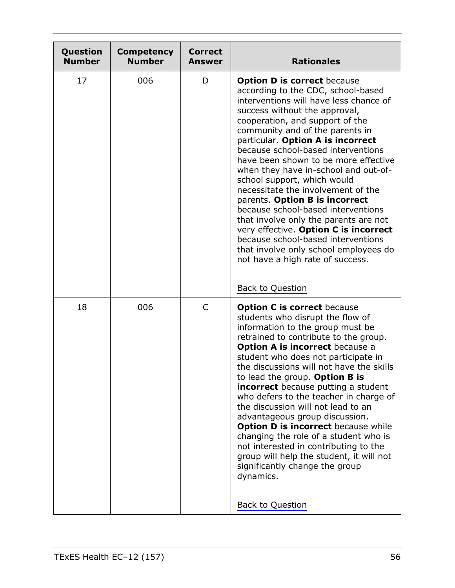| Question<br><b>Number</b> | <b>Competency</b><br><b>Number</b> | <b>Correct</b><br><b>Answer</b> | <b>Rationales</b>                                                                                                                                                                                                                                                                                                                                                                                                                                                                                                                                                                                                                                                                                                                                                 |
|---------------------------|------------------------------------|---------------------------------|-------------------------------------------------------------------------------------------------------------------------------------------------------------------------------------------------------------------------------------------------------------------------------------------------------------------------------------------------------------------------------------------------------------------------------------------------------------------------------------------------------------------------------------------------------------------------------------------------------------------------------------------------------------------------------------------------------------------------------------------------------------------|
| 17                        | 006                                | D                               | <b>Option D is correct because</b><br>according to the CDC, school-based<br>interventions will have less chance of<br>success without the approval,<br>cooperation, and support of the<br>community and of the parents in<br>particular. Option A is incorrect<br>because school-based interventions<br>have been shown to be more effective<br>when they have in-school and out-of-<br>school support, which would<br>necessitate the involvement of the<br>parents. Option B is incorrect<br>because school-based interventions<br>that involve only the parents are not<br>very effective. Option C is incorrect<br>because school-based interventions<br>that involve only school employees do<br>not have a high rate of success.<br><b>Back to Question</b> |
| 18                        | 006                                | $\mathsf{C}$                    | <b>Option C is correct because</b><br>students who disrupt the flow of<br>information to the group must be<br>retrained to contribute to the group.<br><b>Option A is incorrect because a</b><br>student who does not participate in<br>the discussions will not have the skills<br>to lead the group. Option B is<br><b>incorrect</b> because putting a student<br>who defers to the teacher in charge of<br>the discussion will not lead to an<br>advantageous group discussion.<br><b>Option D is incorrect because while</b><br>changing the role of a student who is<br>not interested in contributing to the<br>group will help the student, it will not<br>significantly change the group<br>dynamics.<br><b>Back to Question</b>                          |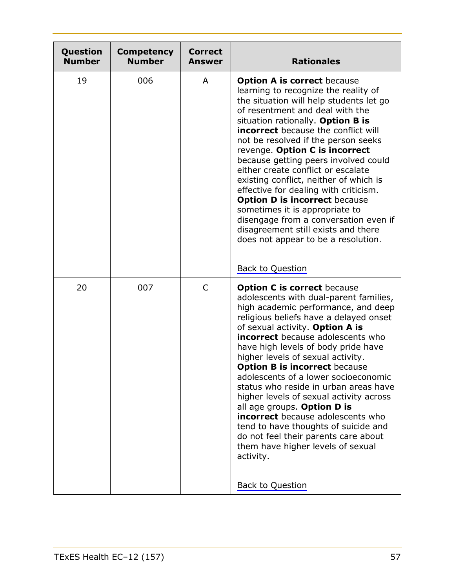| Question<br><b>Number</b> | <b>Competency</b><br><b>Number</b> | <b>Correct</b><br><b>Answer</b> | <b>Rationales</b>                                                                                                                                                                                                                                                                                                                                                                                                                                                                                                                                                                                                                                                                                                             |
|---------------------------|------------------------------------|---------------------------------|-------------------------------------------------------------------------------------------------------------------------------------------------------------------------------------------------------------------------------------------------------------------------------------------------------------------------------------------------------------------------------------------------------------------------------------------------------------------------------------------------------------------------------------------------------------------------------------------------------------------------------------------------------------------------------------------------------------------------------|
| 19                        | 006                                | A                               | <b>Option A is correct because</b><br>learning to recognize the reality of<br>the situation will help students let go<br>of resentment and deal with the<br>situation rationally. Option B is<br><b>incorrect</b> because the conflict will<br>not be resolved if the person seeks<br>revenge. Option C is incorrect<br>because getting peers involved could<br>either create conflict or escalate<br>existing conflict, neither of which is<br>effective for dealing with criticism.<br><b>Option D is incorrect because</b><br>sometimes it is appropriate to<br>disengage from a conversation even if<br>disagreement still exists and there<br>does not appear to be a resolution.<br><b>Back to Question</b>             |
| 20                        | 007                                | C                               | <b>Option C is correct because</b><br>adolescents with dual-parent families,<br>high academic performance, and deep<br>religious beliefs have a delayed onset<br>of sexual activity. Option A is<br><b>incorrect</b> because adolescents who<br>have high levels of body pride have<br>higher levels of sexual activity.<br><b>Option B is incorrect because</b><br>adolescents of a lower socioeconomic<br>status who reside in urban areas have<br>higher levels of sexual activity across<br>all age groups. Option D is<br><b>incorrect</b> because adolescents who<br>tend to have thoughts of suicide and<br>do not feel their parents care about<br>them have higher levels of sexual<br>activity.<br>Back to Question |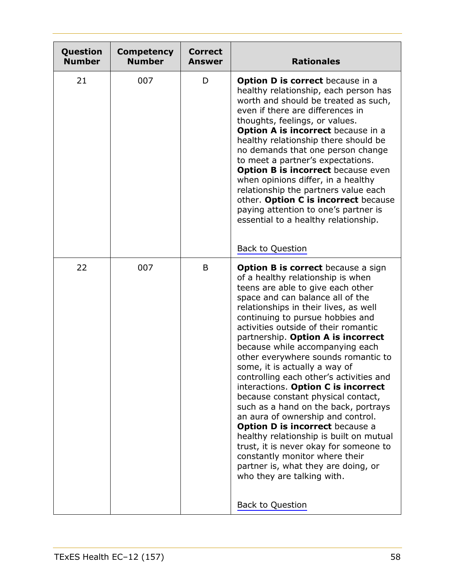| Question<br><b>Number</b> | <b>Competency</b><br><b>Number</b> | <b>Correct</b><br><b>Answer</b> | <b>Rationales</b>                                                                                                                                                                                                                                                                                                                                                                                                                                                                                                                                                                                                                                                                                                                                                                                                                                                                                   |
|---------------------------|------------------------------------|---------------------------------|-----------------------------------------------------------------------------------------------------------------------------------------------------------------------------------------------------------------------------------------------------------------------------------------------------------------------------------------------------------------------------------------------------------------------------------------------------------------------------------------------------------------------------------------------------------------------------------------------------------------------------------------------------------------------------------------------------------------------------------------------------------------------------------------------------------------------------------------------------------------------------------------------------|
| 21                        | 007                                | D                               | <b>Option D is correct</b> because in a<br>healthy relationship, each person has<br>worth and should be treated as such,<br>even if there are differences in<br>thoughts, feelings, or values.<br><b>Option A is incorrect</b> because in a<br>healthy relationship there should be<br>no demands that one person change<br>to meet a partner's expectations.<br><b>Option B is incorrect</b> because even<br>when opinions differ, in a healthy<br>relationship the partners value each<br>other. Option C is incorrect because<br>paying attention to one's partner is<br>essential to a healthy relationship.<br><b>Back to Question</b>                                                                                                                                                                                                                                                         |
| 22                        | 007                                | B                               | <b>Option B is correct</b> because a sign<br>of a healthy relationship is when<br>teens are able to give each other<br>space and can balance all of the<br>relationships in their lives, as well<br>continuing to pursue hobbies and<br>activities outside of their romantic<br>partnership. Option A is incorrect<br>because while accompanying each<br>other everywhere sounds romantic to<br>some, it is actually a way of<br>controlling each other's activities and<br>interactions. Option C is incorrect<br>because constant physical contact,<br>such as a hand on the back, portrays<br>an aura of ownership and control.<br><b>Option D is incorrect because a</b><br>healthy relationship is built on mutual<br>trust, it is never okay for someone to<br>constantly monitor where their<br>partner is, what they are doing, or<br>who they are talking with.<br><b>Back to Question</b> |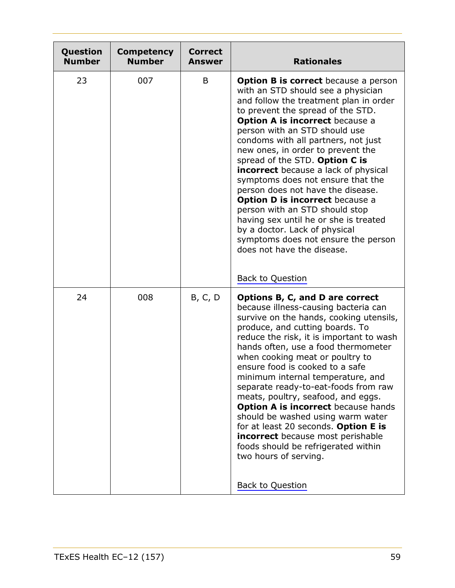| Question<br><b>Number</b> | <b>Competency</b><br><b>Number</b> | <b>Correct</b><br><b>Answer</b> | <b>Rationales</b>                                                                                                                                                                                                                                                                                                                                                                                                                                                                                                                                                                                                                                                                                             |
|---------------------------|------------------------------------|---------------------------------|---------------------------------------------------------------------------------------------------------------------------------------------------------------------------------------------------------------------------------------------------------------------------------------------------------------------------------------------------------------------------------------------------------------------------------------------------------------------------------------------------------------------------------------------------------------------------------------------------------------------------------------------------------------------------------------------------------------|
| 23                        | 007                                | B                               | <b>Option B is correct</b> because a person<br>with an STD should see a physician<br>and follow the treatment plan in order<br>to prevent the spread of the STD.<br><b>Option A is incorrect because a</b><br>person with an STD should use<br>condoms with all partners, not just<br>new ones, in order to prevent the<br>spread of the STD. Option C is<br><b>incorrect</b> because a lack of physical<br>symptoms does not ensure that the<br>person does not have the disease.<br><b>Option D is incorrect because a</b><br>person with an STD should stop<br>having sex until he or she is treated<br>by a doctor. Lack of physical<br>symptoms does not ensure the person<br>does not have the disease. |
|                           |                                    |                                 | Back to Question                                                                                                                                                                                                                                                                                                                                                                                                                                                                                                                                                                                                                                                                                              |
| 24                        | 008                                | B, C, D                         | Options B, C, and D are correct<br>because illness-causing bacteria can<br>survive on the hands, cooking utensils,<br>produce, and cutting boards. To<br>reduce the risk, it is important to wash<br>hands often, use a food thermometer<br>when cooking meat or poultry to<br>ensure food is cooked to a safe<br>minimum internal temperature, and<br>separate ready-to-eat-foods from raw<br>meats, poultry, seafood, and eggs.<br><b>Option A is incorrect because hands</b><br>should be washed using warm water<br>for at least 20 seconds. Option E is<br><b>incorrect</b> because most perishable<br>foods should be refrigerated within<br>two hours of serving.<br>Back to Question                  |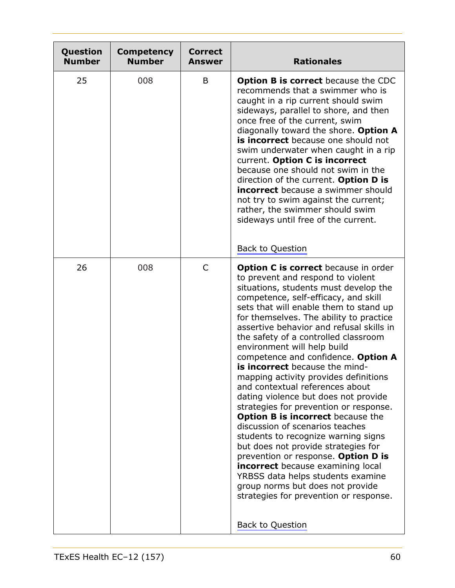| Question<br><b>Number</b> | <b>Competency</b><br><b>Number</b> | <b>Correct</b><br><b>Answer</b> | <b>Rationales</b>                                                                                                                                                                                                                                                                                                                                                                                                                                                                                                                                                                                                                                                                                                                                                                                                                                                                                                                                                                                              |
|---------------------------|------------------------------------|---------------------------------|----------------------------------------------------------------------------------------------------------------------------------------------------------------------------------------------------------------------------------------------------------------------------------------------------------------------------------------------------------------------------------------------------------------------------------------------------------------------------------------------------------------------------------------------------------------------------------------------------------------------------------------------------------------------------------------------------------------------------------------------------------------------------------------------------------------------------------------------------------------------------------------------------------------------------------------------------------------------------------------------------------------|
| 25                        | 008                                | B                               | <b>Option B is correct</b> because the CDC<br>recommends that a swimmer who is<br>caught in a rip current should swim<br>sideways, parallel to shore, and then<br>once free of the current, swim<br>diagonally toward the shore. Option A<br>is incorrect because one should not<br>swim underwater when caught in a rip<br>current. Option C is incorrect<br>because one should not swim in the<br>direction of the current. Option D is<br><b>incorrect</b> because a swimmer should<br>not try to swim against the current;<br>rather, the swimmer should swim<br>sideways until free of the current.<br><b>Back to Question</b>                                                                                                                                                                                                                                                                                                                                                                            |
| 26                        | 008                                | $\mathsf{C}$                    | <b>Option C is correct</b> because in order<br>to prevent and respond to violent<br>situations, students must develop the<br>competence, self-efficacy, and skill<br>sets that will enable them to stand up<br>for themselves. The ability to practice<br>assertive behavior and refusal skills in<br>the safety of a controlled classroom<br>environment will help build<br>competence and confidence. Option A<br>is incorrect because the mind-<br>mapping activity provides definitions<br>and contextual references about<br>dating violence but does not provide<br>strategies for prevention or response.<br><b>Option B is incorrect</b> because the<br>discussion of scenarios teaches<br>students to recognize warning signs<br>but does not provide strategies for<br>prevention or response. Option D is<br><b>incorrect</b> because examining local<br>YRBSS data helps students examine<br>group norms but does not provide<br>strategies for prevention or response.<br><b>Back to Question</b> |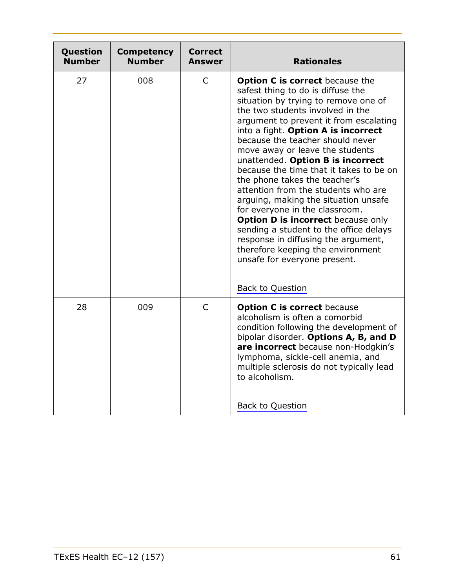<span id="page-60-0"></span>

| Question<br><b>Number</b> | <b>Competency</b><br><b>Number</b> | Correct<br>Answer | <b>Rationales</b>                                                                                                                                                                                                                                                                                                                                                                                                                                                                                                                                                                                                                                                                                                                                                               |
|---------------------------|------------------------------------|-------------------|---------------------------------------------------------------------------------------------------------------------------------------------------------------------------------------------------------------------------------------------------------------------------------------------------------------------------------------------------------------------------------------------------------------------------------------------------------------------------------------------------------------------------------------------------------------------------------------------------------------------------------------------------------------------------------------------------------------------------------------------------------------------------------|
| 27                        | 008                                | $\mathsf{C}$      | <b>Option C is correct</b> because the<br>safest thing to do is diffuse the<br>situation by trying to remove one of<br>the two students involved in the<br>argument to prevent it from escalating<br>into a fight. Option A is incorrect<br>because the teacher should never<br>move away or leave the students<br>unattended. Option B is incorrect<br>because the time that it takes to be on<br>the phone takes the teacher's<br>attention from the students who are<br>arguing, making the situation unsafe<br>for everyone in the classroom.<br><b>Option D is incorrect</b> because only<br>sending a student to the office delays<br>response in diffusing the argument,<br>therefore keeping the environment<br>unsafe for everyone present.<br><b>Back to Question</b> |
| 28                        | 009                                | $\mathsf{C}$      | <b>Option C is correct because</b><br>alcoholism is often a comorbid<br>condition following the development of<br>bipolar disorder. Options A, B, and D<br>are incorrect because non-Hodgkin's<br>lymphoma, sickle-cell anemia, and<br>multiple sclerosis do not typically lead<br>to alcoholism.<br>Back to Question                                                                                                                                                                                                                                                                                                                                                                                                                                                           |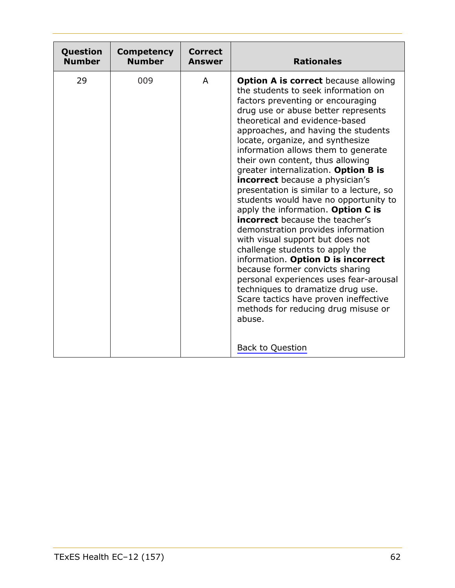<span id="page-61-0"></span>

| Question      | <b>Competency</b> | <b>Correct</b> | <b>Rationales</b>                                                                                                                                                                                                                                                                                                                                                                                                                                                                                                                                                                                                                                                                                                                                                                                                                                                                                                                                                                                       |
|---------------|-------------------|----------------|---------------------------------------------------------------------------------------------------------------------------------------------------------------------------------------------------------------------------------------------------------------------------------------------------------------------------------------------------------------------------------------------------------------------------------------------------------------------------------------------------------------------------------------------------------------------------------------------------------------------------------------------------------------------------------------------------------------------------------------------------------------------------------------------------------------------------------------------------------------------------------------------------------------------------------------------------------------------------------------------------------|
| <b>Number</b> | <b>Number</b>     | Answer         |                                                                                                                                                                                                                                                                                                                                                                                                                                                                                                                                                                                                                                                                                                                                                                                                                                                                                                                                                                                                         |
| 29            | 009               | A              | <b>Option A is correct</b> because allowing<br>the students to seek information on<br>factors preventing or encouraging<br>drug use or abuse better represents<br>theoretical and evidence-based<br>approaches, and having the students<br>locate, organize, and synthesize<br>information allows them to generate<br>their own content, thus allowing<br>greater internalization. Option B is<br><b>incorrect</b> because a physician's<br>presentation is similar to a lecture, so<br>students would have no opportunity to<br>apply the information. Option C is<br><b>incorrect</b> because the teacher's<br>demonstration provides information<br>with visual support but does not<br>challenge students to apply the<br>information. Option D is incorrect<br>because former convicts sharing<br>personal experiences uses fear-arousal<br>techniques to dramatize drug use.<br>Scare tactics have proven ineffective<br>methods for reducing drug misuse or<br>abuse.<br><b>Back to Question</b> |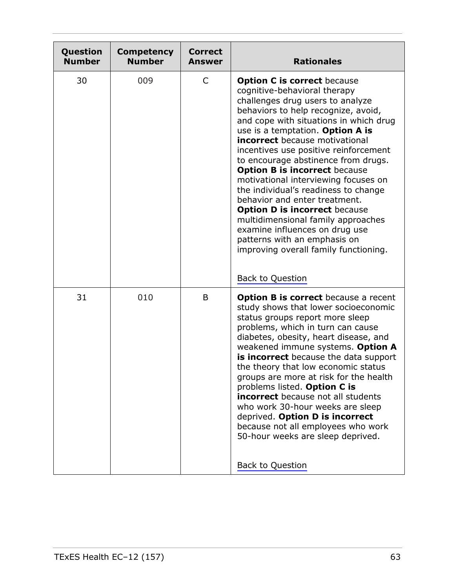<span id="page-62-1"></span><span id="page-62-0"></span>

| Question<br><b>Number</b> | <b>Competency</b><br><b>Number</b> | <b>Correct</b><br><b>Answer</b> | <b>Rationales</b>                                                                                                                                                                                                                                                                                                                                                                                                                                                                                                                                                                                                                                                                                                          |
|---------------------------|------------------------------------|---------------------------------|----------------------------------------------------------------------------------------------------------------------------------------------------------------------------------------------------------------------------------------------------------------------------------------------------------------------------------------------------------------------------------------------------------------------------------------------------------------------------------------------------------------------------------------------------------------------------------------------------------------------------------------------------------------------------------------------------------------------------|
| 30                        | 009                                | C                               | <b>Option C is correct because</b><br>cognitive-behavioral therapy<br>challenges drug users to analyze<br>behaviors to help recognize, avoid,<br>and cope with situations in which drug<br>use is a temptation. Option A is<br><b>incorrect</b> because motivational<br>incentives use positive reinforcement<br>to encourage abstinence from drugs.<br><b>Option B is incorrect because</b><br>motivational interviewing focuses on<br>the individual's readiness to change<br>behavior and enter treatment.<br><b>Option D is incorrect because</b><br>multidimensional family approaches<br>examine influences on drug use<br>patterns with an emphasis on<br>improving overall family functioning.<br>Back to Question |
| 31                        | 010                                | B                               | <b>Option B is correct</b> because a recent<br>study shows that lower socioeconomic<br>status groups report more sleep<br>problems, which in turn can cause<br>diabetes, obesity, heart disease, and<br>weakened immune systems. Option A<br>is incorrect because the data support<br>the theory that low economic status<br>groups are more at risk for the health<br>problems listed. Option C is<br><b>incorrect</b> because not all students<br>who work 30-hour weeks are sleep<br>deprived. Option D is incorrect<br>because not all employees who work<br>50-hour weeks are sleep deprived.<br>Back to Question                                                                                                     |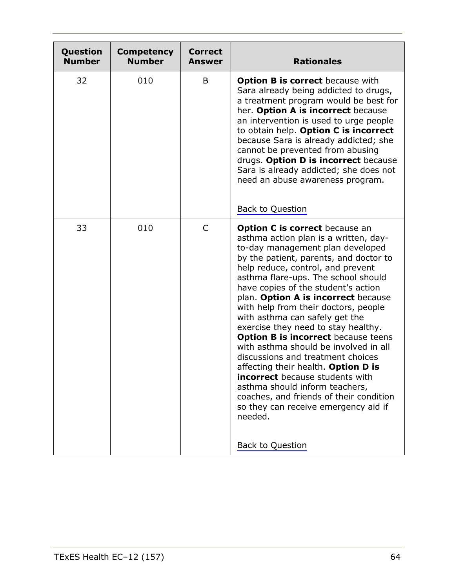<span id="page-63-1"></span><span id="page-63-0"></span>

| Question<br><b>Number</b> | <b>Competency</b><br><b>Number</b> | <b>Correct</b><br><b>Answer</b> | <b>Rationales</b>                                                                                                                                                                                                                                                                                                                                                                                                                                                                                                                                                                                                                                                                                                                                                                                               |
|---------------------------|------------------------------------|---------------------------------|-----------------------------------------------------------------------------------------------------------------------------------------------------------------------------------------------------------------------------------------------------------------------------------------------------------------------------------------------------------------------------------------------------------------------------------------------------------------------------------------------------------------------------------------------------------------------------------------------------------------------------------------------------------------------------------------------------------------------------------------------------------------------------------------------------------------|
| 32                        | 010                                | B                               | <b>Option B is correct because with</b><br>Sara already being addicted to drugs,<br>a treatment program would be best for<br>her. Option A is incorrect because<br>an intervention is used to urge people<br>to obtain help. Option C is incorrect<br>because Sara is already addicted; she<br>cannot be prevented from abusing<br>drugs. Option D is incorrect because<br>Sara is already addicted; she does not<br>need an abuse awareness program.<br><b>Back to Question</b>                                                                                                                                                                                                                                                                                                                                |
| 33                        | 010                                | C                               | <b>Option C is correct</b> because an<br>asthma action plan is a written, day-<br>to-day management plan developed<br>by the patient, parents, and doctor to<br>help reduce, control, and prevent<br>asthma flare-ups. The school should<br>have copies of the student's action<br>plan. Option A is incorrect because<br>with help from their doctors, people<br>with asthma can safely get the<br>exercise they need to stay healthy.<br><b>Option B is incorrect because teens</b><br>with asthma should be involved in all<br>discussions and treatment choices<br>affecting their health. Option D is<br><b>incorrect</b> because students with<br>asthma should inform teachers,<br>coaches, and friends of their condition<br>so they can receive emergency aid if<br>needed.<br><b>Back to Question</b> |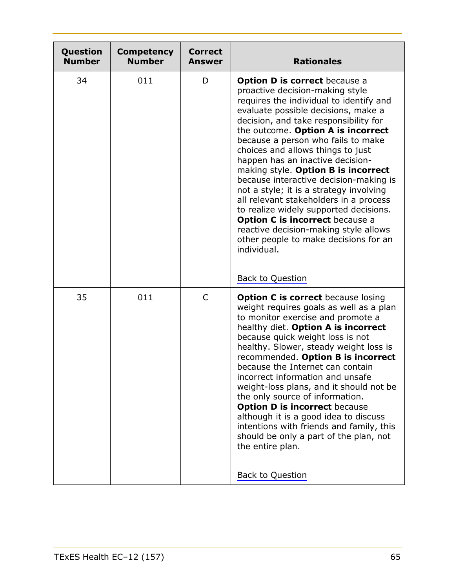<span id="page-64-1"></span><span id="page-64-0"></span>

| Question<br><b>Number</b> | <b>Competency</b><br><b>Number</b> | <b>Correct</b><br><b>Answer</b> | <b>Rationales</b>                                                                                                                                                                                                                                                                                                                                                                                                                                                                                                                                                                                                                                                                                                  |
|---------------------------|------------------------------------|---------------------------------|--------------------------------------------------------------------------------------------------------------------------------------------------------------------------------------------------------------------------------------------------------------------------------------------------------------------------------------------------------------------------------------------------------------------------------------------------------------------------------------------------------------------------------------------------------------------------------------------------------------------------------------------------------------------------------------------------------------------|
| 34                        | 011                                | D                               | <b>Option D is correct</b> because a<br>proactive decision-making style<br>requires the individual to identify and<br>evaluate possible decisions, make a<br>decision, and take responsibility for<br>the outcome. Option A is incorrect<br>because a person who fails to make<br>choices and allows things to just<br>happen has an inactive decision-<br>making style. Option B is incorrect<br>because interactive decision-making is<br>not a style; it is a strategy involving<br>all relevant stakeholders in a process<br>to realize widely supported decisions.<br><b>Option C is incorrect because a</b><br>reactive decision-making style allows<br>other people to make decisions for an<br>individual. |
|                           |                                    |                                 | Back to Question                                                                                                                                                                                                                                                                                                                                                                                                                                                                                                                                                                                                                                                                                                   |
| 35                        | 011                                | $\mathsf{C}$                    | <b>Option C is correct because losing</b><br>weight requires goals as well as a plan<br>to monitor exercise and promote a<br>healthy diet. Option A is incorrect<br>because quick weight loss is not<br>healthy. Slower, steady weight loss is<br>recommended. Option B is incorrect<br>because the Internet can contain<br>incorrect information and unsafe<br>weight-loss plans, and it should not be<br>the only source of information.<br><b>Option D is incorrect because</b><br>although it is a good idea to discuss<br>intentions with friends and family, this<br>should be only a part of the plan, not<br>the entire plan.<br><b>Back to Question</b>                                                   |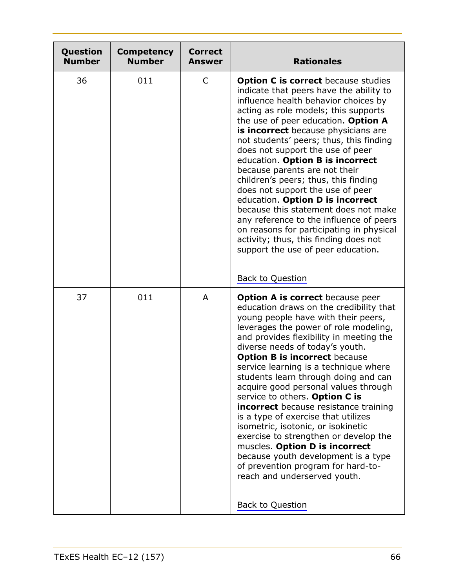<span id="page-65-1"></span><span id="page-65-0"></span>

| Question<br><b>Number</b> | <b>Competency</b><br><b>Number</b> | <b>Correct</b><br><b>Answer</b> | <b>Rationales</b>                                                                                                                                                                                                                                                                                                                                                                                                                                                                                                                                                                                                                                                                                                                                                                     |
|---------------------------|------------------------------------|---------------------------------|---------------------------------------------------------------------------------------------------------------------------------------------------------------------------------------------------------------------------------------------------------------------------------------------------------------------------------------------------------------------------------------------------------------------------------------------------------------------------------------------------------------------------------------------------------------------------------------------------------------------------------------------------------------------------------------------------------------------------------------------------------------------------------------|
| 36                        | 011                                | C                               | <b>Option C is correct</b> because studies<br>indicate that peers have the ability to<br>influence health behavior choices by<br>acting as role models; this supports<br>the use of peer education. Option A<br>is incorrect because physicians are<br>not students' peers; thus, this finding<br>does not support the use of peer<br>education. Option B is incorrect<br>because parents are not their<br>children's peers; thus, this finding<br>does not support the use of peer<br>education. Option D is incorrect<br>because this statement does not make<br>any reference to the influence of peers<br>on reasons for participating in physical<br>activity; thus, this finding does not<br>support the use of peer education.<br>Back to Question                             |
| 37                        | 011                                | A                               | Option A is correct because peer<br>education draws on the credibility that<br>young people have with their peers,<br>leverages the power of role modeling,<br>and provides flexibility in meeting the<br>diverse needs of today's youth.<br><b>Option B is incorrect because</b><br>service learning is a technique where<br>students learn through doing and can<br>acquire good personal values through<br>service to others. Option C is<br><b>incorrect</b> because resistance training<br>is a type of exercise that utilizes<br>isometric, isotonic, or isokinetic<br>exercise to strengthen or develop the<br>muscles. Option D is incorrect<br>because youth development is a type<br>of prevention program for hard-to-<br>reach and underserved youth.<br>Back to Question |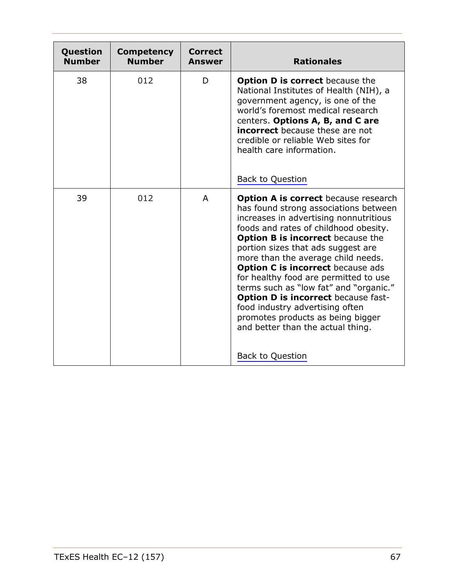<span id="page-66-1"></span><span id="page-66-0"></span>

| Question<br><b>Number</b> | <b>Competency</b><br><b>Number</b> | <b>Correct</b><br><b>Answer</b> | <b>Rationales</b>                                                                                                                                                                                                                                                                                                                                                                                                                                                                                                                                                                                                    |
|---------------------------|------------------------------------|---------------------------------|----------------------------------------------------------------------------------------------------------------------------------------------------------------------------------------------------------------------------------------------------------------------------------------------------------------------------------------------------------------------------------------------------------------------------------------------------------------------------------------------------------------------------------------------------------------------------------------------------------------------|
| 38                        | 012                                | D                               | <b>Option D is correct</b> because the<br>National Institutes of Health (NIH), a<br>government agency, is one of the<br>world's foremost medical research<br>centers. Options A, B, and C are<br><b>incorrect</b> because these are not<br>credible or reliable Web sites for<br>health care information.<br>Back to Question                                                                                                                                                                                                                                                                                        |
| 39                        | 012                                | A                               | <b>Option A is correct</b> because research<br>has found strong associations between<br>increases in advertising nonnutritious<br>foods and rates of childhood obesity.<br><b>Option B is incorrect</b> because the<br>portion sizes that ads suggest are<br>more than the average child needs.<br><b>Option C is incorrect because ads</b><br>for healthy food are permitted to use<br>terms such as "low fat" and "organic."<br><b>Option D is incorrect because fast-</b><br>food industry advertising often<br>promotes products as being bigger<br>and better than the actual thing.<br><b>Back to Question</b> |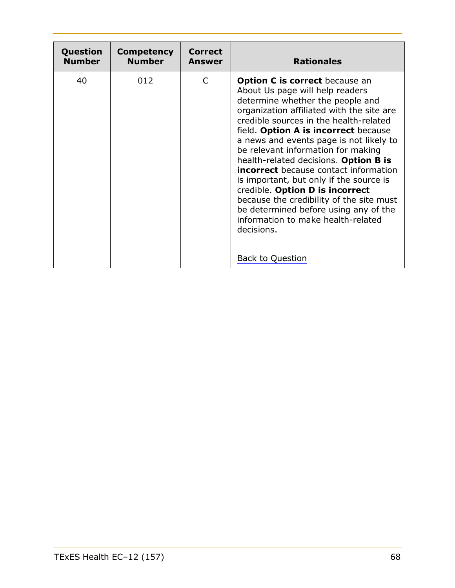<span id="page-67-0"></span>

| Question      | <b>Competency</b> | <b>Correct</b> | <b>Rationales</b>                                                                                                                                                                                                                                                                                                                                                                                                                                                                                                                                                                                                                                                       |
|---------------|-------------------|----------------|-------------------------------------------------------------------------------------------------------------------------------------------------------------------------------------------------------------------------------------------------------------------------------------------------------------------------------------------------------------------------------------------------------------------------------------------------------------------------------------------------------------------------------------------------------------------------------------------------------------------------------------------------------------------------|
| <b>Number</b> | <b>Number</b>     | <b>Answer</b>  |                                                                                                                                                                                                                                                                                                                                                                                                                                                                                                                                                                                                                                                                         |
| 40            | 012               | $\mathsf{C}$   | <b>Option C is correct</b> because an<br>About Us page will help readers<br>determine whether the people and<br>organization affiliated with the site are<br>credible sources in the health-related<br>field. Option A is incorrect because<br>a news and events page is not likely to<br>be relevant information for making<br>health-related decisions. Option B is<br><b>incorrect</b> because contact information<br>is important, but only if the source is<br>credible. Option D is incorrect<br>because the credibility of the site must<br>be determined before using any of the<br>information to make health-related<br>decisions.<br><b>Back to Question</b> |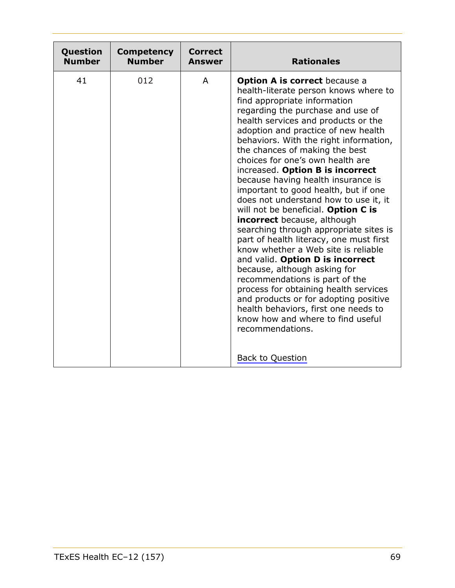<span id="page-68-0"></span>

| Question      | <b>Competency</b> | <b>Correct</b> | <b>Rationales</b>                                                                                                                                                                                                                                                                                                                                                                                                                                                                                                                                                                                                                                                                                                                                                                                                                                                                                                                                                                                                                        |
|---------------|-------------------|----------------|------------------------------------------------------------------------------------------------------------------------------------------------------------------------------------------------------------------------------------------------------------------------------------------------------------------------------------------------------------------------------------------------------------------------------------------------------------------------------------------------------------------------------------------------------------------------------------------------------------------------------------------------------------------------------------------------------------------------------------------------------------------------------------------------------------------------------------------------------------------------------------------------------------------------------------------------------------------------------------------------------------------------------------------|
| <b>Number</b> | <b>Number</b>     | <b>Answer</b>  |                                                                                                                                                                                                                                                                                                                                                                                                                                                                                                                                                                                                                                                                                                                                                                                                                                                                                                                                                                                                                                          |
| 41            | 012               | A              | <b>Option A is correct</b> because a<br>health-literate person knows where to<br>find appropriate information<br>regarding the purchase and use of<br>health services and products or the<br>adoption and practice of new health<br>behaviors. With the right information,<br>the chances of making the best<br>choices for one's own health are<br>increased. Option B is incorrect<br>because having health insurance is<br>important to good health, but if one<br>does not understand how to use it, it<br>will not be beneficial. Option C is<br><b>incorrect</b> because, although<br>searching through appropriate sites is<br>part of health literacy, one must first<br>know whether a Web site is reliable<br>and valid. Option D is incorrect<br>because, although asking for<br>recommendations is part of the<br>process for obtaining health services<br>and products or for adopting positive<br>health behaviors, first one needs to<br>know how and where to find useful<br>recommendations.<br><b>Back to Question</b> |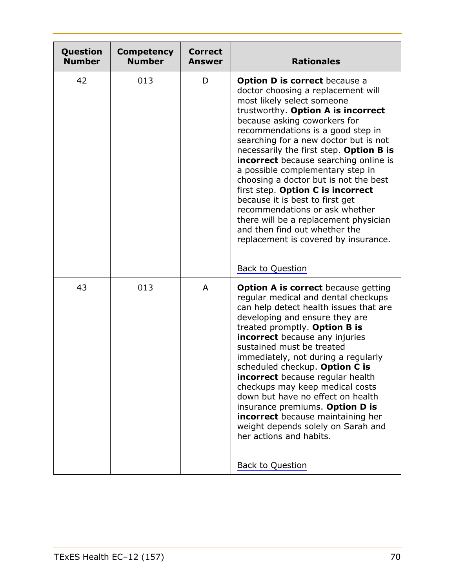<span id="page-69-0"></span>

| Question<br><b>Number</b> | <b>Competency</b><br><b>Number</b> | <b>Correct</b><br><b>Answer</b> | <b>Rationales</b>                                                                                                                                                                                                                                                                                                                                                                                                                                                                                                                                                                                                                                                |
|---------------------------|------------------------------------|---------------------------------|------------------------------------------------------------------------------------------------------------------------------------------------------------------------------------------------------------------------------------------------------------------------------------------------------------------------------------------------------------------------------------------------------------------------------------------------------------------------------------------------------------------------------------------------------------------------------------------------------------------------------------------------------------------|
| 42                        | 013                                | D                               | <b>Option D is correct</b> because a<br>doctor choosing a replacement will<br>most likely select someone<br>trustworthy. Option A is incorrect<br>because asking coworkers for<br>recommendations is a good step in<br>searching for a new doctor but is not<br>necessarily the first step. Option B is<br><b>incorrect</b> because searching online is<br>a possible complementary step in<br>choosing a doctor but is not the best<br>first step. Option C is incorrect<br>because it is best to first get<br>recommendations or ask whether<br>there will be a replacement physician<br>and then find out whether the<br>replacement is covered by insurance. |
|                           |                                    |                                 | <b>Back to Question</b>                                                                                                                                                                                                                                                                                                                                                                                                                                                                                                                                                                                                                                          |
| 43                        | 013                                | A                               | <b>Option A is correct</b> because getting<br>regular medical and dental checkups<br>can help detect health issues that are<br>developing and ensure they are<br>treated promptly. Option B is<br><b>incorrect</b> because any injuries<br>sustained must be treated<br>immediately, not during a regularly<br>scheduled checkup. Option C is<br><b>incorrect</b> because regular health<br>checkups may keep medical costs<br>down but have no effect on health<br>insurance premiums. Option D is<br><b>incorrect</b> because maintaining her<br>weight depends solely on Sarah and<br>her actions and habits.<br>Back to Question                             |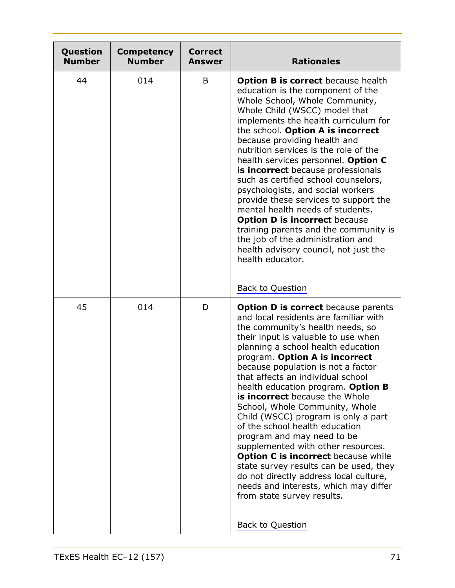<span id="page-70-1"></span><span id="page-70-0"></span>

| Question<br><b>Number</b> | <b>Competency</b><br><b>Number</b> | <b>Correct</b><br><b>Answer</b> | <b>Rationales</b>                                                                                                                                                                                                                                                                                                                                                                                                                                                                                                                                                                                                                                                                                                                                                                                     |
|---------------------------|------------------------------------|---------------------------------|-------------------------------------------------------------------------------------------------------------------------------------------------------------------------------------------------------------------------------------------------------------------------------------------------------------------------------------------------------------------------------------------------------------------------------------------------------------------------------------------------------------------------------------------------------------------------------------------------------------------------------------------------------------------------------------------------------------------------------------------------------------------------------------------------------|
| 44                        | 014                                | B                               | <b>Option B is correct</b> because health<br>education is the component of the<br>Whole School, Whole Community,<br>Whole Child (WSCC) model that<br>implements the health curriculum for<br>the school. Option A is incorrect<br>because providing health and<br>nutrition services is the role of the<br>health services personnel. Option C<br>is incorrect because professionals<br>such as certified school counselors,<br>psychologists, and social workers<br>provide these services to support the<br>mental health needs of students.<br><b>Option D is incorrect because</b><br>training parents and the community is<br>the job of the administration and<br>health advisory council, not just the<br>health educator.<br><b>Back to Question</b>                                          |
| 45                        | 014                                | D                               | <b>Option D is correct</b> because parents<br>and local residents are familiar with<br>the community's health needs, so<br>their input is valuable to use when<br>planning a school health education<br>program. Option A is incorrect<br>because population is not a factor<br>that affects an individual school<br>health education program. Option B<br>is incorrect because the Whole<br>School, Whole Community, Whole<br>Child (WSCC) program is only a part<br>of the school health education<br>program and may need to be<br>supplemented with other resources.<br>Option C is incorrect because while<br>state survey results can be used, they<br>do not directly address local culture,<br>needs and interests, which may differ<br>from state survey results.<br><b>Back to Question</b> |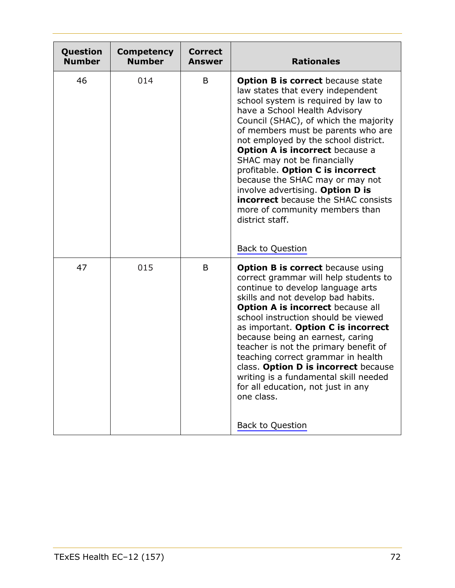<span id="page-71-1"></span><span id="page-71-0"></span>

| Question<br><b>Number</b> | <b>Competency</b><br><b>Number</b> | <b>Correct</b><br><b>Answer</b> | <b>Rationales</b>                                                                                                                                                                                                                                                                                                                                                                                                                                                                                                                                                    |
|---------------------------|------------------------------------|---------------------------------|----------------------------------------------------------------------------------------------------------------------------------------------------------------------------------------------------------------------------------------------------------------------------------------------------------------------------------------------------------------------------------------------------------------------------------------------------------------------------------------------------------------------------------------------------------------------|
| 46                        | 014                                | B                               | <b>Option B is correct</b> because state<br>law states that every independent<br>school system is required by law to<br>have a School Health Advisory<br>Council (SHAC), of which the majority<br>of members must be parents who are<br>not employed by the school district.<br><b>Option A is incorrect because a</b><br>SHAC may not be financially<br>profitable. Option C is incorrect<br>because the SHAC may or may not<br>involve advertising. Option D is<br><b>incorrect</b> because the SHAC consists<br>more of community members than<br>district staff. |
|                           |                                    |                                 | <b>Back to Question</b>                                                                                                                                                                                                                                                                                                                                                                                                                                                                                                                                              |
| 47                        | 015                                | B                               | <b>Option B is correct</b> because using<br>correct grammar will help students to<br>continue to develop language arts<br>skills and not develop bad habits.<br><b>Option A is incorrect because all</b><br>school instruction should be viewed<br>as important. Option C is incorrect<br>because being an earnest, caring<br>teacher is not the primary benefit of<br>teaching correct grammar in health<br>class. Option D is incorrect because<br>writing is a fundamental skill needed<br>for all education, not just in any<br>one class.<br>Back to Question   |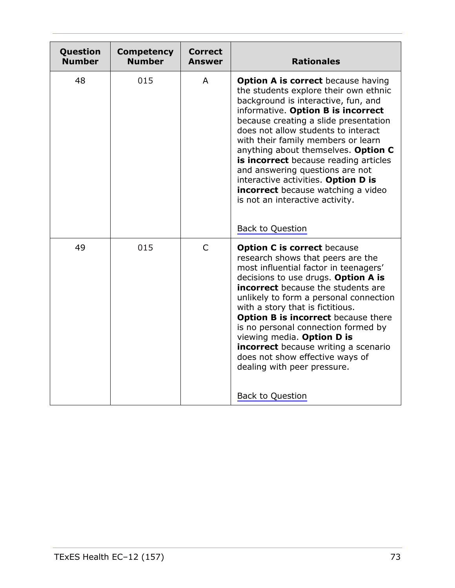| Question<br><b>Number</b> | <b>Competency</b><br><b>Number</b> | <b>Correct</b><br><b>Answer</b> | <b>Rationales</b>                                                                                                                                                                                                                                                                                                                                                                                                                                                                                                                                   |
|---------------------------|------------------------------------|---------------------------------|-----------------------------------------------------------------------------------------------------------------------------------------------------------------------------------------------------------------------------------------------------------------------------------------------------------------------------------------------------------------------------------------------------------------------------------------------------------------------------------------------------------------------------------------------------|
| 48                        | 015                                | A                               | <b>Option A is correct</b> because having<br>the students explore their own ethnic<br>background is interactive, fun, and<br>informative. Option B is incorrect<br>because creating a slide presentation<br>does not allow students to interact<br>with their family members or learn<br>anything about themselves. Option C<br>is incorrect because reading articles<br>and answering questions are not<br>interactive activities. Option D is<br><b>incorrect</b> because watching a video<br>is not an interactive activity.<br>Back to Question |
| 49                        | 015                                | $\mathsf{C}$                    | <b>Option C is correct because</b><br>research shows that peers are the<br>most influential factor in teenagers'<br>decisions to use drugs. Option A is<br>incorrect because the students are<br>unlikely to form a personal connection<br>with a story that is fictitious.<br><b>Option B is incorrect</b> because there<br>is no personal connection formed by<br>viewing media. Option D is<br><b>incorrect</b> because writing a scenario<br>does not show effective ways of<br>dealing with peer pressure.<br>Back to Question                 |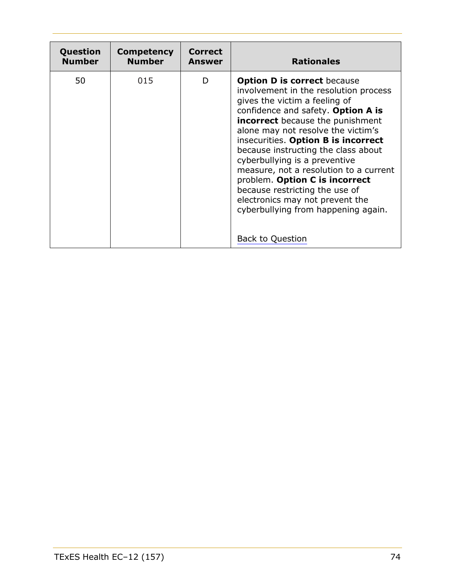| Question      | Competency    | <b>Correct</b> | <b>Rationales</b>                                                                                                                                                                                                                                                                                                                                                                                                                                                                                                                                                     |
|---------------|---------------|----------------|-----------------------------------------------------------------------------------------------------------------------------------------------------------------------------------------------------------------------------------------------------------------------------------------------------------------------------------------------------------------------------------------------------------------------------------------------------------------------------------------------------------------------------------------------------------------------|
| <b>Number</b> | <b>Number</b> | Answer         |                                                                                                                                                                                                                                                                                                                                                                                                                                                                                                                                                                       |
| 50            | 015           | D              | <b>Option D is correct because</b><br>involvement in the resolution process<br>gives the victim a feeling of<br>confidence and safety. Option A is<br><b>incorrect</b> because the punishment<br>alone may not resolve the victim's<br>insecurities. Option B is incorrect<br>because instructing the class about<br>cyberbullying is a preventive<br>measure, not a resolution to a current<br>problem. Option C is incorrect<br>because restricting the use of<br>electronics may not prevent the<br>cyberbullying from happening again.<br><b>Back to Question</b> |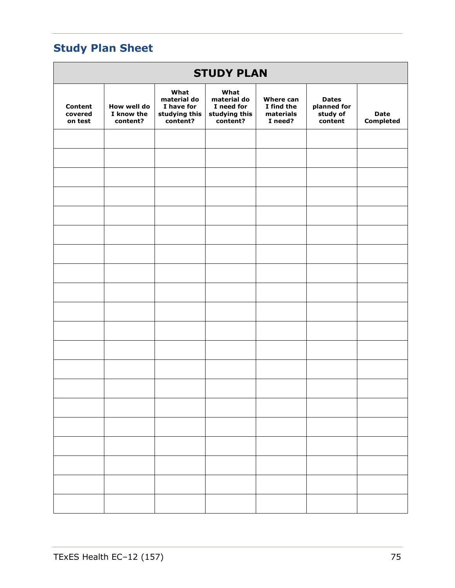# **Study Plan Sheet**

| <b>STUDY PLAN</b>                    |                                       |                                                                |                                                                |                                                 |                                                    |                                 |  |  |  |
|--------------------------------------|---------------------------------------|----------------------------------------------------------------|----------------------------------------------------------------|-------------------------------------------------|----------------------------------------------------|---------------------------------|--|--|--|
| <b>Content</b><br>covered<br>on test | How well do<br>I know the<br>content? | What<br>material do<br>I have for<br>studying this<br>content? | What<br>material do<br>I need for<br>studying this<br>content? | Where can<br>I find the<br>materials<br>I need? | <b>Dates</b><br>planned for<br>study of<br>content | <b>Date</b><br><b>Completed</b> |  |  |  |
|                                      |                                       |                                                                |                                                                |                                                 |                                                    |                                 |  |  |  |
|                                      |                                       |                                                                |                                                                |                                                 |                                                    |                                 |  |  |  |
|                                      |                                       |                                                                |                                                                |                                                 |                                                    |                                 |  |  |  |
|                                      |                                       |                                                                |                                                                |                                                 |                                                    |                                 |  |  |  |
|                                      |                                       |                                                                |                                                                |                                                 |                                                    |                                 |  |  |  |
|                                      |                                       |                                                                |                                                                |                                                 |                                                    |                                 |  |  |  |
|                                      |                                       |                                                                |                                                                |                                                 |                                                    |                                 |  |  |  |
|                                      |                                       |                                                                |                                                                |                                                 |                                                    |                                 |  |  |  |
|                                      |                                       |                                                                |                                                                |                                                 |                                                    |                                 |  |  |  |
|                                      |                                       |                                                                |                                                                |                                                 |                                                    |                                 |  |  |  |
|                                      |                                       |                                                                |                                                                |                                                 |                                                    |                                 |  |  |  |
|                                      |                                       |                                                                |                                                                |                                                 |                                                    |                                 |  |  |  |
|                                      |                                       |                                                                |                                                                |                                                 |                                                    |                                 |  |  |  |
|                                      |                                       |                                                                |                                                                |                                                 |                                                    |                                 |  |  |  |
|                                      |                                       |                                                                |                                                                |                                                 |                                                    |                                 |  |  |  |
|                                      |                                       |                                                                |                                                                |                                                 |                                                    |                                 |  |  |  |
|                                      |                                       |                                                                |                                                                |                                                 |                                                    |                                 |  |  |  |
|                                      |                                       |                                                                |                                                                |                                                 |                                                    |                                 |  |  |  |
|                                      |                                       |                                                                |                                                                |                                                 |                                                    |                                 |  |  |  |
|                                      |                                       |                                                                |                                                                |                                                 |                                                    |                                 |  |  |  |